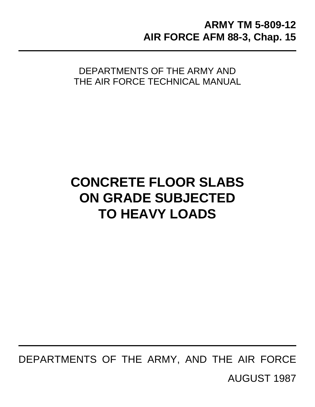DEPARTMENTS OF THE ARMY AND THE AIR FORCE TECHNICAL MANUAL

# **CONCRETE FLOOR SLABS ON GRADE SUBJECTED TO HEAVY LOADS**

DEPARTMENTS OF THE ARMY, AND THE AIR FORCE AUGUST 1987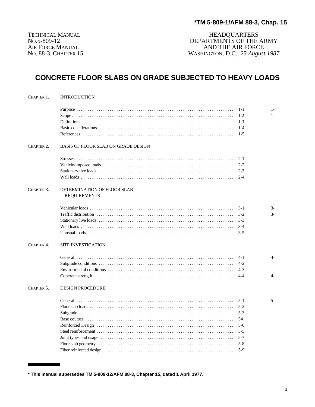TECHNICAL MANUAL HEADQUARTERS<br>No.5-809-12 DEPARTMENTS OF THE NO.5-809-12 DEPARTMENTS OF THE ARMY AIR FORCE MANUAL AIR FORCE AIR FORCE MANUAL AIR FORCE AND THE AIR FORCE No. 88-3, CHAPTER 15 WASHINGTON, D.C., 25 August 1987

# **CONCRETE FLOOR SLABS ON GRADE SUBJECTED TO HEAVY LOADS**

| CHAPTER 1. | <b>INTRODUCTION</b>                                |              |
|------------|----------------------------------------------------|--------------|
|            |                                                    | $1-$<br>$1-$ |
| CHAPTER 2. | BASIS OF FLOOR SLAB ON GRADE DESIGN                |              |
|            |                                                    |              |
| CHAPTER 3. | DETERMINATION OF FLOOR SLAB<br><b>REQUIREMENTS</b> |              |
|            |                                                    | $3-$<br>$3-$ |
| CHAPTER 4. | <b>SITE INVESTIGATION</b>                          |              |
|            |                                                    | $4-$<br>$4-$ |
| CHAPTER 5. | <b>DESIGN PROCEDURE</b>                            |              |
|            |                                                    | $5 -$        |

**<sup>\*</sup> This manual supersedes TM 5-809-12/AFM 88-3, Chapter 15, dated 1 April 1977.**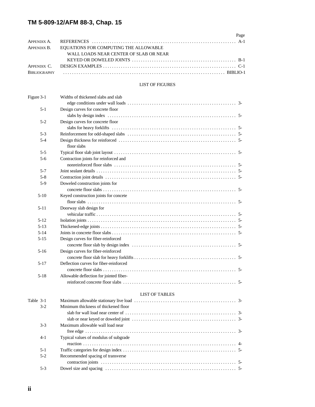|                                                   | Page |
|---------------------------------------------------|------|
|                                                   |      |
| APPENDIX B. EQUATIONS FOR COMPUTING THE ALLOWABLE |      |
| WALL LOADS NEAR CENTER OF SLAB OR NEAR            |      |
|                                                   |      |
|                                                   |      |
|                                                   |      |

### LIST OF FIGURES

| Figure 3-1 | Widths of thickened slabs and slab      |                                                                                                                                                                                                                               |
|------------|-----------------------------------------|-------------------------------------------------------------------------------------------------------------------------------------------------------------------------------------------------------------------------------|
|            |                                         |                                                                                                                                                                                                                               |
| $5 - 1$    | Design curves for concrete floor        |                                                                                                                                                                                                                               |
|            |                                         |                                                                                                                                                                                                                               |
| $5-2$      | Design curves for concrete floor        |                                                                                                                                                                                                                               |
|            |                                         |                                                                                                                                                                                                                               |
| $5 - 3$    |                                         |                                                                                                                                                                                                                               |
| $5 - 4$    |                                         |                                                                                                                                                                                                                               |
|            | floor slabs                             |                                                                                                                                                                                                                               |
| $5 - 5$    |                                         |                                                                                                                                                                                                                               |
| $5-6$      | Contraction joints for reinforced and   |                                                                                                                                                                                                                               |
|            |                                         |                                                                                                                                                                                                                               |
| $5 - 7$    |                                         |                                                                                                                                                                                                                               |
| $5 - 8$    |                                         |                                                                                                                                                                                                                               |
| $5-9$      | Doweled construction joints for         |                                                                                                                                                                                                                               |
|            |                                         |                                                                                                                                                                                                                               |
| $5-10$     | Keyed construction joints for concete   |                                                                                                                                                                                                                               |
|            |                                         |                                                                                                                                                                                                                               |
| $5 - 11$   | Doorway slab design for                 |                                                                                                                                                                                                                               |
|            |                                         |                                                                                                                                                                                                                               |
| $5-12$     |                                         |                                                                                                                                                                                                                               |
| $5-13$     |                                         |                                                                                                                                                                                                                               |
| $5 - 14$   |                                         |                                                                                                                                                                                                                               |
| $5 - 15$   | Design curves for fiber-reinforced      |                                                                                                                                                                                                                               |
|            |                                         |                                                                                                                                                                                                                               |
| $5-16$     | Design curves for fiber-reinforced      |                                                                                                                                                                                                                               |
|            |                                         |                                                                                                                                                                                                                               |
| $5-17$     | Deflection curves for fiber-reinforced  |                                                                                                                                                                                                                               |
|            |                                         |                                                                                                                                                                                                                               |
| $5-18$     | Allowable deflection for jointed fiber- |                                                                                                                                                                                                                               |
|            |                                         |                                                                                                                                                                                                                               |
|            |                                         |                                                                                                                                                                                                                               |
|            |                                         | LIST OF TABLES                                                                                                                                                                                                                |
| Table 3-1  |                                         |                                                                                                                                                                                                                               |
| $3-2$      | Minimum thickness of thickened floor    |                                                                                                                                                                                                                               |
|            |                                         |                                                                                                                                                                                                                               |
|            |                                         |                                                                                                                                                                                                                               |
| $3 - 3$    |                                         | Maximum allowable wall load near heart and the state of the state of the state of the state of the state of the state of the state of the state of the state of the state of the state of the state of the state of the state |
|            |                                         |                                                                                                                                                                                                                               |
| $4 - 1$    | Typical values of modulus of subgrade   |                                                                                                                                                                                                                               |
|            |                                         |                                                                                                                                                                                                                               |
| $5 - 1$    |                                         |                                                                                                                                                                                                                               |
| $5 - 2$    | Recommended spacing of transverse       |                                                                                                                                                                                                                               |
|            |                                         |                                                                                                                                                                                                                               |
| $5 - 3$    |                                         |                                                                                                                                                                                                                               |
|            |                                         |                                                                                                                                                                                                                               |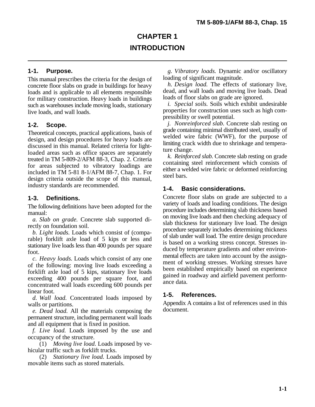# **CHAPTER 1 INTRODUCTION**

This manual prescribes the criteria for the design of concrete floor slabs on grade in buildings for heavy loads and is applicable to all elements responsible for military construction. Heavy loads in buildings such as warehouses include moving loads, stationary live loads, and wall loads.

# **1-2. Scope.**

Theoretical concepts, practical applications, basis of design, and design procedures for heavy loads are discussed in this manual. Related criteria for lightloaded areas such as office spaces are separately treated in TM 5-809-2/AFM 88-3, Chap. 2. Criteria for areas subjected to vibratory loadings are included in TM 5-81 8-1/AFM 88-7, Chap. 1. For design criteria outside the scope of this manual, industry standards are recommended.

# **1-3. Definitions.**

The following definitions have been adopted for the manual:

*a. Slab on grade.* Concrete slab supported directly on foundation soil.

*b. Light loads.* Loads which consist of (comparable) forklift axle load of 5 kips or less and stationary live loads less than 400 pounds per square foot.

*c*. *Heavy loads.* Loads which consist of any one of the following: moving live loads exceeding a forklift axle load of 5 kips, stationary live loads exceeding 400 pounds per square foot, and concentrated wall loads exceeding 600 pounds per linear foot.

*d. Wall load.* Concentrated loads imposed by walls or partitions.

*e. Dead load.* All the materials composing the permanent structure, including permanent wall loads and all equipment that is fixed in position.

*f. Live load.* Loads imposed by the use and occupancy of the structure.

(1) *Moving live load.* Loads imposed by vehicular traffic such as forklift trucks.

(2) *Stationary live load.* Loads imposed by movable items such as stored materials.

**1-1. Purpose.** *g. Vibratory loads.* Dynamic and/or oscillatory loading of significant magnitude.

> *h. Design load.* The effects of stationary live, dead, and wall loads and moving live loads. Dead loads of floor slabs on grade are ignored.

> *i. Special soils.* Soils which exhibit undesirable properties for construction uses such as high compressibility or swell potential.

> *j. Nonreinforced slab.* Concrete slab resting on grade containing minimal distributed steel, usually of welded wire fabric (WWF), for the purpose of limiting crack width due to shrinkage and temperature change.

> *k. Reinforced slab.* Concrete slab resting on grade containing steel reinforcement which consists of either a welded wire fabric or deformed reinforcing steel bars.

# **1-4. Basic considerations.**

Concrete floor slabs on grade are subjected to a variety of loads and loading conditions. The design procedure includes determining slab thickness based on moving live loads and then checking adequacy of slab thickness for stationary live load. The design procedure separately includes determining thickness of slab under wall load. The entire design procedure is based on a working stress concept. Stresses induced by temperature gradients and other environmental effects are taken into account by the assignment of working stresses. Working stresses have been established empirically based on experience gained in roadway and airfield pavement performance data.

## **1-5. References.**

Appendix A contains a list of references used in this document.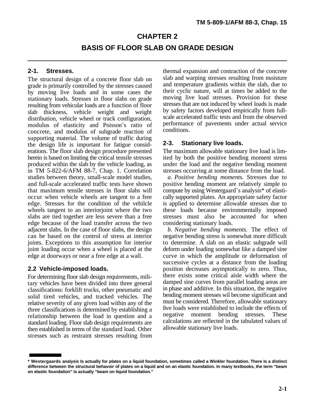# **CHAPTER 2**

**BASIS OF FLOOR SLAB ON GRADE DESIGN**

The structural design of a concrete floor slab on grade is primarily controlled by the stresses caused by moving live loads and in some cases the stationary loads. Stresses in floor slabs on grade resulting from vehicular loads are a function of floor slab thickness, vehicle weight and weight distribution, vehicle wheel or track configuration, modulus of elasticity and Poisson's ratio of concrete, and modulus of subgrade reaction of supporting material. The volume of traffic during the design life is important for fatigue considerations. The floor slab design procedure presented The maximum allowable stationary live load is limherein is based on limiting the critical tensile stresses ited by both the positive bending moment stress produced within the slab by the vehicle loading, as under the load and the negative bending moment in TM 5-822-6/AFM 88-7, Chap. 1. Correlation stresses occurring at some distance from the load. studies between theory, small-scale model studies, *a. Positive bending moments.* Stresses due to and full-scale accelerated traffic tests have shown positive bending moment are relatively simple to that maximum tensile stresses in floor slabs will compute by using Westergaard\*s analysis\* of elastioccur when vehicle wheels are tangent to a free cally supported plates. An appropriate safety factor edge. Stresses for the condition of the vehilcle is applied to determine allowable stresses due to wheels tangent to an interiorioint where the two these loads because environmentally imposed slabs are tied together are less severe than a free stresses must also be accounted for when edge because of the load transfer across the two considering stationary loads. adjacent slabs. In the case of floor slabs, the design *b. Negative bending moments.* The effect of can be based on the control of stress at interior negative bending stress is somewhat more difficult joints. Exceptions to this assumption for interior to determine. A slab on an elastic subgrade will joint loading occur when a wheel is placed at the deform under loading somewhat like a damped sine edge at doorways or near a free edge at a wall. curve in which the amplitude or deformation of

For determining floor slab design requirements, military vehicles have been divided into three general classifications: forklift trucks, other pneumatic and solid tired vehicles, and tracked vehicles. The relative severity of any given load within any of the three classifications is determined by establishing a relationship between the load in question and a standard loading. Floor slab design requirements are then established in terms of the standard load. Other stresses such as restraint stresses resulting from

**2-1. Stresses.** thermal expansion and contraction of the concrete slab and warping stresses resulting from moisture and temperature gradients within the slab, due to their cyclic nature, will at times be added to the moving live load stresses. Provision for these stresses that are not induced by wheel loads is made by safety factors developed empirically from fullscale accelerated traffic tests and from the observed performance of pavements under actual service conditions.

# **2-3. Stationary live loads.**

**2.2 Vehicle-imposed loads. position decreases asymptotically to zero. Thus,** successive cycles at a distance from the loading there exists some critical aisle width where the damped sine curves from parallel loading areas are in phase and additive. In this situation, the negative bending moment stresses wil become significant and must be considered. Therefore, allowable stationary live loads were established to include the effects of negative moment bending stresses. These calculations are reflected in the tabulated values of allowable stationary live loads.

**<sup>\*</sup> Westergaards analysis Is actually for plates on a liquid foundation, sometimes called a Winkler foundation. There Is a distinct difference between the structural behavoir of plates on a liquid and on an elastic foundation. In many textbooks, the term "beam on elastic foundation" Is actually "beam on liquid foundation."**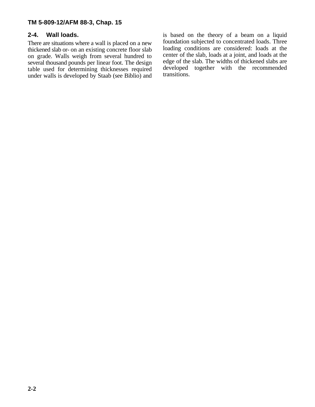There are situations where a wall is placed on a new thickened slab or- on an existing concrete floor slab on grade. Walls weigh from several hundred to several thousand pounds per linear foot. The design table used for determining thicknesses required under walls is developed by Staab (see Biblio) and

**2-4. Wall loads.** is based on the theory of a beam on a liquid foundation subjected to concentrated loads. Three loading conditions are considered: loads at the center of the slab, loads at a joint, and loads at the edge of the slab. The widths of thickened slabs are developed together with the recommended transitions.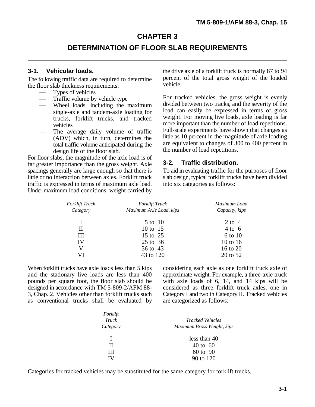# **CHAPTER 3**

# **DETERMINATION OF FLOOR SLAB REQUIREMENTS**

The following traffic data are required to determine the floor slab thickness requirements:

- Types of vehicles
- Traffic volume by vehicle type
- Wheel loads, including the maximum single-axle and tandem-axle loading for trucks, forklift trucks, and tracked vehicles
- The average daily volume of traffic (ADV) which, in turn, determines the total traffic volume anticipated during the design life of the floor slab.

For floor slabs, the magnitude of the axle load is of far greater importance than the gross weight. Axle spacings generally are large enough so that there is To aid in evaluating traffic for the purposes of floor little or no interaction between axles. Forklift truck slab design, typical forklift trucks have been divided traffic is expressed in terms of maximum axle load. into six categories as follows: traffic is expressed in terms of maximum axle load. Under maximum load conditions, weight carried by

**3-1. Vehicular loads.** the drive axle of a forklift truck is normally 87 to 94 percent of the total gross weight of the loaded vehicle.

> For tracked vehicles, the gross weight is evenly divided between two tracks, and the severity of the load can easily be expressed in terms of gross weight. For moving live loads, axle loading is far more important than the number of load repetitions. Full-scale experiments have shown that changes as little as 10 percent in the magnitude of axle loading are equivalent to changes of 300 to 400 percent in the number of load repetitions.

# **3-2. Traffic distribution.**

| <b>Forklift Truck</b><br>Category | <b>Forklift Truck</b><br>Maximum Axle Load, kips | Maximum Load<br>Capacity, kips |
|-----------------------------------|--------------------------------------------------|--------------------------------|
| L                                 | 5 to 10                                          | $2$ to $4$                     |
| Н                                 | 10 to 15                                         | $4$ to 6                       |
| Ш                                 | 15 to 25                                         | 6 to 10                        |
| IV                                | 25 to 36                                         | 10 to 16                       |
| V                                 | 36 to 43                                         | 16 to 20                       |
| VI                                | 43 to 120                                        | 20 to 52                       |

When forklift trucks have axle loads less than 5 kips considering each axle as one forklift truck axle of and the stationary live loads are less than 400 approximate weight. For example, a three-axle truck as conventional trucks shall be evaluated by are categorized as follows:

approximate weight. For example, a three-axle truck pounds per square foot, the floor slab should be with axle loads of 6, 14, and 14 kips will be designed in accordance with TM 5-809-2/AFM 88- considered as three forklift truck axles, one in 3, Chap. 2. Vehicles other than forklift trucks such Category I and two in Category II. Tracked vehicles

| Forklift |                            |
|----------|----------------------------|
| Truck    | <i>Tracked Vehicles</i>    |
| Category | Maximum Bross Weight, kips |
| Т        | less than 40               |
| H        | 40 to $60$                 |
| Ш        | 60 to 90                   |
| TV       | 90 to 120                  |

Categories for tracked vehicles may be substituted for the same category for forklift trucks.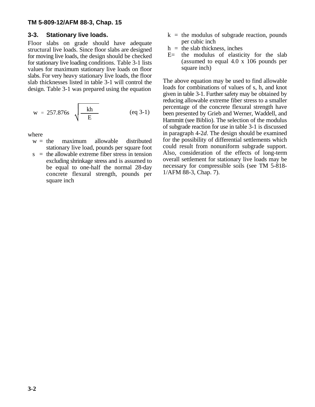Floor slabs on grade should have adequate structural live loads. Since floor slabs are designed for moving live loads, the design should be checked for stationary live loading conditions. Table 3-1 lists values for maximum stationary live loads on floor slabs. For very heavy stationary live loads, the floor slab thicknesses listed in table 3-1 will control the design. Table 3-1 was prepared using the equation

$$
w = 257.876s \sqrt{\frac{kh}{E}}
$$
 (eq 3-1)

where

- $w =$  the maximum allowable distributed stationary live load, pounds per square foot
- $s =$  the allowable extreme fiber stress in tension excluding shrinkage stress and is assumed to be equal to one-half the normal 28-day concrete flexural strength, pounds per square inch
- **3-3. Stationary live loads. k** = the modulus of subgrade reaction, pounds per cubic inch
	- $h =$  the slab thickness, inches
	- $E=$  the modulus of elasticity for the slab (assumed to equal 4.0 x 106 pounds per square inch)

The above equation may be used to find allowable loads for combinations of values of s, h, and knot given in table 3-1. Further safety may be obtained by reducing allowable extreme fiber stress to a smaller percentage of the concrete flexural strength have been presented by Grieb and Werner, Waddell, and Hammitt (see Biblio). The selection of the modulus of subgrade reaction for use in table 3-1 is discussed in paragraph 4-2*d*. The design should be examined for the possibility of differential settlements which could result from nonuniform subgrade support. Also, consideration of the effects of long-term overall settlement for stationary live loads may be necessary for compressible soils (see TM 5-818- 1/AFM 88-3, Chap. 7).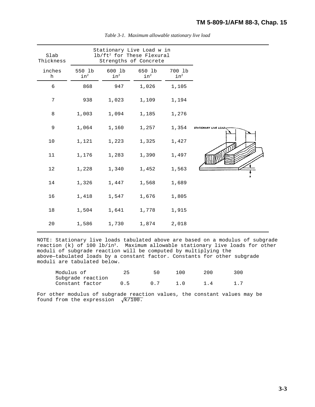| Slab<br>Thickness |                  | Stationary Live Load w in<br>lb/ft <sup>2</sup> for These Flexural<br>Strengths of Concrete |                  |                  |                      |
|-------------------|------------------|---------------------------------------------------------------------------------------------|------------------|------------------|----------------------|
| inches<br>h       | 550 lb<br>$in^2$ | 600 lb<br>$in^2$                                                                            | 650 lb<br>$in^2$ | 700 lb<br>$in^2$ |                      |
| 6                 | 868              | 947                                                                                         | 1,026            | 1,105            |                      |
| 7                 | 938              | 1,023                                                                                       | 1,109            | 1,194            |                      |
| 8                 | 1,003            | 1,094                                                                                       | 1,185            | 1,276            |                      |
| 9                 | 1,064            | 1,160                                                                                       | 1,257            | 1,354            | STATIONARY LIVE LOAD |
| $10$              | 1,121            | 1,223                                                                                       | 1,325            | 1,427            |                      |
| 11                | 1,176            | 1,283                                                                                       | 1,390            | 1,497            |                      |
| 12                | 1,228            | 1,340                                                                                       | 1,452            | 1,563            |                      |
| 14                | 1,326            | 1,447                                                                                       | 1,568            | 1,689            |                      |
| 16                | 1,418            | 1,547                                                                                       | 1,676            | 1,805            |                      |
| 18                | 1,504            | 1,641                                                                                       | 1,778            | 1,915            |                      |
| 20                | 1,586            | 1,730                                                                                       | 1,874            | 2,018            |                      |

*Table 3-1. Maximum allowable stationary live load*

NOTE: Stationary live loads tabulated above are based on a modulus of subgrade reaction (k) of 100  $lb/in^3$ . Maximum allowable stationary live loads for other moduli of subgrade reaction will be computed by multiplying the above—tabulated loads by a constant factor. Constants for other subgrade moduli are tabulated below.

| Modulus of        | 25 | 50  | 1 N N | 200 | 300 |
|-------------------|----|-----|-------|-----|-----|
| Subgrade reaction |    |     |       |     |     |
| Constant factor   |    | 0.7 | 1 O   | 1 4 | 1.7 |

found from the expression  $\sqrt{k/100}$ . For other modulus of subgrade reaction values, the constant values may be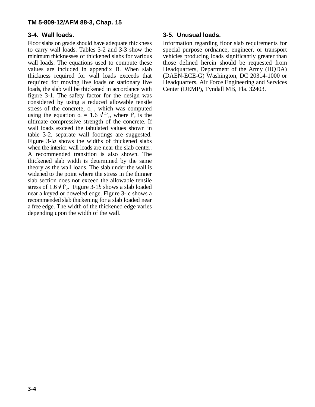Floor slabs on grade should have adequate thickness Information regarding floor slab requirements for to carry wall loads. Tables 3-2 and 3-3 show the special purpose ordnance, engineer, or transport minimum thicknesses of thickened slabs for various vehicles producing loads significantly greater than wall loads. The equations used to compute these those defined herein should be requested from values are included in appendix B. When slab Headquarters, Department of the Army (HQDA) thickness required for wall loads exceeds that (DAEN-ECE-G) Washington, DC 20314-1000 or required for moving live loads or stationary live Headquarters, Air Force Engineering and Services loads, the slab will be thickened in accordance with Center (DEMP), Tyndall MB, Fla. 32403. figure 3-1. The safety factor for the design was considered by using a reduced allowable tensile stress of the concrete,  $o_t$ , which was computed using the equation  $o_t = 1.6 \n\mathcal{F}f_c$ , where  $f_c$  is the ultimate compressive strength of the concrete. If wall loads exceed the tabulated values shown in table 3-2, separate wall footings are suggested. Figure 3-l*a* shows the widths of thickened slabs when the interior wall loads are near the slab center. A recommended transition is also shown. The thickened slab width is determined by the same theory as the wall loads. The slab under the wall is widened to the point where the stress in the thinner slab section does not exceed the allowable tensile stress of 1.6  $\sqrt{\text{f}^2}$ . Figure 3-1*b* shows a slab loaded near a keyed or doweled edge. Figure 3-lc shows a recommended slab thickening for a slab loaded near a free edge. The width of the thickened edge varies depending upon the width of the wall.

# **3-4. Wall loads. 3-5. Unusual loads.**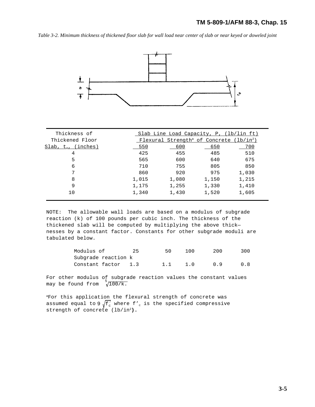*Table 3-2. Minimum thickness of thickened floor slab for wall load near center of slab or near keyed or doweled joint*



NOTE: The allowable wall loads are based on a modulus of subgrade reaction (k) of 100 pounds per cubic inch. The thickness of the thickened slab will be computed by multiplying the above thick nesses by a constant factor. Constants for other subgrade moduli are tabulated below.

| Modulus of          | 25 | 50. | 1 N N | 200  | 300 |
|---------------------|----|-----|-------|------|-----|
| Subgrade reaction k |    |     |       |      |     |
| Constant factor 1.3 |    | 1.1 | 1.0   | O. 9 | 0.8 |

may be found from  $\sqrt[5]{100/k}$ . For other modulus of subgrade reaction values the constant values

9  $\sqrt{f'_c}$ assumed equal to 9  $\sqrt{{\rm f}_{\rm c}}'$  where  ${\rm f'}_{\rm c}$  is the specified compressive <sup>a</sup>For this application the flexural strength of concrete was strength of concrete (lb/in<sup>2</sup>).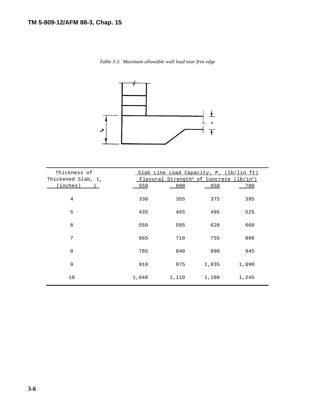

*Table 3-3. Maximum allowable wall load near free edge*

| Thickness of       |       | Slab Line Load Capacity, P, (lb/lin ft)                          |       |       |
|--------------------|-------|------------------------------------------------------------------|-------|-------|
| Thickened Slab, t. |       | Flexural Strength <sup>ª</sup> of Concrete (lb/in <sup>2</sup> ) |       |       |
| (inches)           | 550   | 600                                                              | 650   | 700   |
| $\overline{4}$     | 330   | 355                                                              | 375   | 395   |
| 5                  | 435   | 465                                                              | 495   | 525   |
| 6                  | 550   | 585                                                              | 620   | 660   |
| 7                  | 665   | 710                                                              | 755   | 800   |
| 8                  | 785   | 840                                                              | 890   | 945   |
| 9                  | 910   | 975                                                              | 1,035 | 1,090 |
| 10                 | 1,040 | 1,110                                                            | 1,180 | 1,245 |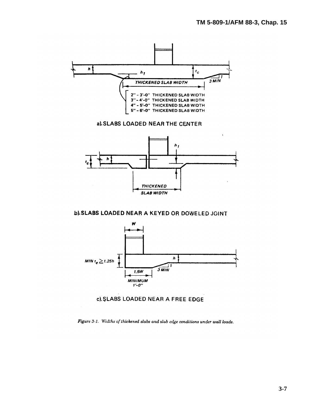

b) SLABS LOADED NEAR A KEYED OR DOWELED JOINT



c). SLABS LOADED NEAR A FREE EDGE

Figure 3-1. Widths of thickened slabs and slab edge conditions under wall loads.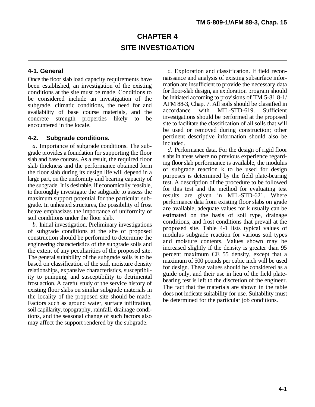# **CHAPTER 4 SITE INVESTIGATION**

Once the floor slab load capacity requirements have been established, an investigation of the existing conditions at the site must be made. Conditions to be considered include an investigation of the subgrade, climatic conditions, the need for and availability of base course materials, and the concrete strength properties likely to be encountered in the locale.

## **4-2. Subgrade conditions.**

*a*. Importance of subgrade conditions. The subgrade provides a foundation for supporting the floor slab and base courses. As a result, the required floor slab thickness and the performance obtained form the floor slab during its design life will depend in a large part, on the uniformity and bearing capacity of the subgrade. It is desirable, if economically feasible, to thoroughly investigate the subgrade to assess the maximum support potential for the particular subgrade. In unheated structures, the possibility of frost heave emphasizes the importance of uniformity of soil conditions under the floor slab.

*b.* Initial investigation. Preliminary investigations of subgrade conditions at the site of proposed construction should be performed to determine the engineering characteristics of the subgrade soils and the extent of any peculiarities of the proposed site. The general suitability of the subgrade soils is to be based on classification of the soil, moisture density relationships, expansive characteristics, susceptibility to pumping, and susceptibility to detrimental frost action. A careful study of the service history of existing floor slabs on similar subgrade materials in the locality of the proposed site should be made. Factors such as ground water, surface infiltration, soil capillarity, topography, rainfall, drainage conditions, and the seasonal change of such factors also may affect the support rendered by the subgrade.

**4-1. General** *c*. Exploration and classification. If field reconnaissance and analysis of existing subsurface information are insufficient to provide the necessary data for floor-slab design, an exploration program should be initiated according to provisions of TM 5-81 8-1/ AFM 88-3, Chap. 7. All soils should be classified in accordance with MIL-STD-619. Sufficient investigations should be performed at the proposed site to facilitate the classification of all soils that will be used or removed during construction; other pertinent descriptive information should also be included.

> *d.* Performance data. For the design of rigid floor slabs in areas where no previous experience regarding floor slab performance is available, the modulus of subgrade reaction k to be used for design purposes is determined by the field plate-bearing test. A description of the procedure to be followed for this test and the method for evaluating test results are given in MIL-STD-621. Where performance data from existing floor slabs on grade are available, adequate values for k usually can be estimated on the basis of soil type, drainage conditions, and frost conditions that prevail at the proposed site. Table 4-1 lists typical values of modulus subgrade reaction for various soil types and moisture contents. Values shown may be increased slightly if the density is greater than 95 percent maximum CE 55 density, except that a maximum of 500 pounds per cubic inch will be used for design. These values should be considered as a guide only, and their use in lieu of the field platebearing test is left to the discretion of the engineer. The fact that the materials are shown in the table does not indicate suitability for use. Suitability must be determined for the particular job conditions.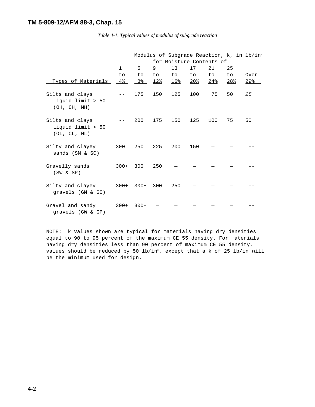|                                                        |              | Modulus of Subgrade Reaction, k, in lb/in <sup>3</sup><br>for Moisture Contents of |     |                 |     |     |     |      |
|--------------------------------------------------------|--------------|------------------------------------------------------------------------------------|-----|-----------------|-----|-----|-----|------|
|                                                        | $\mathbf{1}$ | 5                                                                                  | 9   | 13 <sup>°</sup> | 17  | 21  | 25  |      |
|                                                        | to           | to                                                                                 | to  | to              | to  | to  | to  | Over |
| Types of Materials                                     | $4\,$        | 8.8                                                                                | 12% | 16%             | 20% | 24% | 28% | 29%  |
|                                                        |              |                                                                                    |     |                 |     |     |     |      |
| Silts and clays<br>Liquid limit $> 50$<br>(OH, CH, MH) |              | 175                                                                                | 150 | 125             | 100 | 75  | 50  | 25   |
| Silts and clays<br>Liquid limit < 50<br>(OL, CL, ML)   |              | 200                                                                                | 175 | 150             | 125 | 100 | 75  | 50   |
| Silty and clayey<br>sands $(SM & SC)$                  | 300          | 250                                                                                | 225 | 200             | 150 |     |     |      |
| Gravelly sands<br>(SW & SP)                            | $300+$       | 300                                                                                | 250 |                 |     |     |     |      |
| Silty and clayey<br>qravels (GM & GC)                  |              | $300+ 300+ 300$                                                                    |     | 250             |     |     |     |      |
| Gravel and sandy<br>gravels (GW & GP)                  | $300+$       | $300+$                                                                             |     |                 |     |     |     |      |

*Table 4-1. Typical values of modulus of subgrade reaction*

NOTE: k values shown are typical for materials having dry densities equal to 90 to 95 percent of the maximum CE 55 density. For materials having dry densities less than 90 percent of maximum CE 55 density, values should be reduced by 50 lb/in<sup>3</sup>, except that a k of 25 lb/in<sup>3</sup> will be the minimum used for design.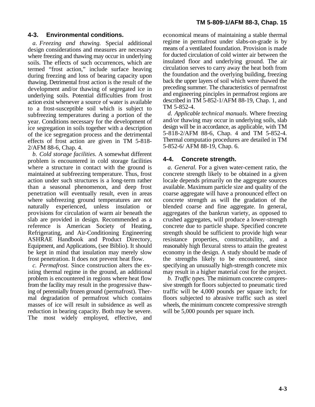*a*. *Freezing and thawing.* Special additional design considerations and measures are necessary where freezing and thawing may occur in underlying soils. The effects of such occurrences, which are termed "frost action," include surface heaving during freezing and loss of bearing capacity upon thawing. Detrimental frost action is the result of the development and/or thawing of segregated ice in underlying soils. Potential difficulties from frost action exist whenever a source of water is available to a frost-susceptible soil which is subject to subfreezing temperatures during a portion of the year. Conditions necessary for the development of ice segregation in soils together with a description of the ice segregation process and the detrimental effects of frost action are given in TM 5-818- 2/AFM 88-6, Chap. 4.

*b. Cold storage facilities.* A somewhat different problem is encountered in cold storage facilities where a structure in contact with the ground is *a. General*. For a given water-cement ratio, the maintained at subfreezing temperature. Thus, frost concrete strength likely to be obtained in a given action under such structures is a long-term rather locale depends primarily on the aggregate sources than a seasonal phenomenon, and deep frost available. Maximum particle size and quality of the penetration will eventually result, even in areas coarse aggregate will have a pronounced effect on where subfreezing ground temperatures are not concrete strength as will the gradation of the naturally experienced, unless insulation or blended coarse and fine aggregate. In general, provisions for circulation of warm air beneath the aggregates of the bankrun variety, as opposed to slab are provided in design. Recommended as a crushed aggregates, will produce a lower-strength reference is American Society of Heating, concrete due to particle shape. Specified concrete Refrigerating, and Air-Conditioning Engineering strength should be sufficient to provide high wear ASHRAE Handbook and Product Directory, resistance properties, constructability, and a Equipment, and Applications, (see Biblio). It should reasonably high flexural stress to attain the greatest be kept in mind that insulation may merely slow economy in the design. A study should be made of frost penetration. It does not prevent heat flow. the strengths likely to be encountered, since

isting thermal regime in the ground, an additional may result in a higher material cost for the project. problem is encountered in regions where heat flow *b. Traffic types.* The minimum concrete compresfrom the facility may result in the progressive thaw- sive strength for floors subjected to pneumatic tired ing of perennially frozen ground (permafrost). Ther- traffic will be 4,000 pounds per square inch; for mal degradation of permafrost which contains floors subjected to abrasive traffic such as steel masses of ice will result in subsidence as well as wheels, the minimum concrete compressive strength reduction in bearing capacity. Both may be severe. will be 5,000 pounds per square inch. The most widely employed, effective, and

**4-3. Environmental conditions.** economical means of maintaining a stable thermal regime in permafrost under slabs-on-grade is by means of a ventilated foundation. Provision is made for ducted circulation of cold winter air between the insulated floor and underlying ground. The air circulation serves to carry away the heat both from the foundation and the overlying building, freezing back the upper layers of soil which were thawed the preceding summer. The characteristics of permafrost and engineering pinciples in permafrost regions are described in TM 5-852-1/AFM 88-19, Chap. 1, and TM 5-852-4.

*d. Applicable technical manuals.* Where freezing and/or thawing may occur in underlying soils, slab design will be in accordance, as applicable, with TM 5-818-2/AFM 88-6, Chap. 4 and TM 5-852-4. Thermal computatio procedures are detailed in TM 5-852-6/ AFM 88-19, Chap. 6.

# **4-4. Concrete strength.**

*c. Permafrost.* Since construction alters the ex- specifying an unusually high-strength concrete mix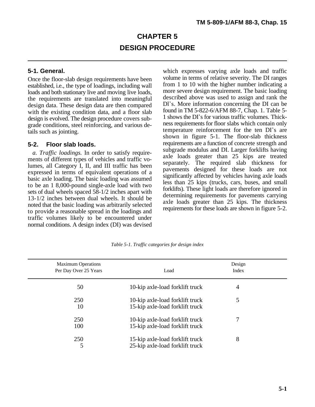# **CHAPTER 5 DESIGN PROCEDURE**

Once the floor-slab design requirements have been established, i.e., the type of loadings, including wall loads and both stationary live and moving live loads, the requirements are translated into meaningful design data. These design data are then compared with the existing condition data, and a floor slab design is evolved. The design procedure covers subgrade conditions, steel reinforcing, and various details such as jointing.

# **5-2. Floor slab loads.**

*a. Traffic loadings.* In order to satisfy requirements of different types of vehicles and traffic volumes, all Category I, II, and III traffic has been expressed in terms of equivalent operations of a basic axle loading. The basic loading was assumed to be an 1 8,000-pound single-axle load with two sets of dual wheels spaced 58-1/2 inches apart with 13-1/2 inches between dual wheels. It should be noted that the basic loading was arbitrarily selected to provide a reasonable spread in the loadings and traffic volumes likely to be encountered under normal conditions. A design index (DI) was devised

**5-1. General.** which expresses varying axle loads and traffic volume in terms of relative severity. The DI ranges from 1 to 10 with the higher number indicating a more severe design requirement. The basic loading described above was used to assign and rank the Dl's. More information concerning the DI can be found in TM 5-822-6/AFM 88-7, Chap. 1. Table 5- 1 shows the DI\*s for various traffic volumes. Thickness requirements for floor slabs which contain only temperature reinforcement for the ten DI's are shown in figure 5-1. The floor-slab thickness requirements are a function of concrete strength and subgrade modulus and DI. Larger forklifts having axle loads greater than 25 kips are treated separately. The required slab thickness for pavements designed for these loads are not significantly affected by vehicles having axle loads less than 25 kips (trucks, cars, buses, and small forklifts). These light loads are therefore ignored in determining requirements for pavements carrying axle loads greater than 25 kips. The thickness requirements for these loads are shown in figure 5-2.

| <b>Maximum Operations</b><br>Per Day Over 25 Years | Load                                                               | Design<br>Index |
|----------------------------------------------------|--------------------------------------------------------------------|-----------------|
| 50                                                 | 10-kip axle-load forklift truck                                    | 4               |
| 250<br>10                                          | 10-kip axle-load forklift truck<br>15-kip axle-load forklift truck | 5               |
| 250<br>100                                         | 10-kip axle-load forklift truck<br>15-kip axle-load forklift truck |                 |
| 250<br>5                                           | 15-kip axle-load forklift truck<br>25-kip axle-load forklift truck | 8               |

*Table 5-1. Traffic categories for design index*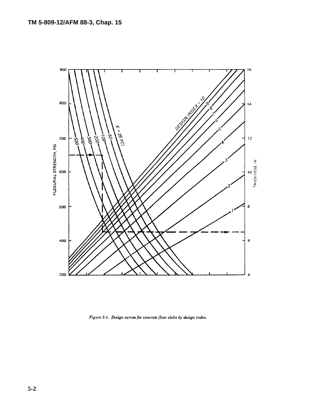

Figure 5-1. Design curves for concrete floor slabs by design index.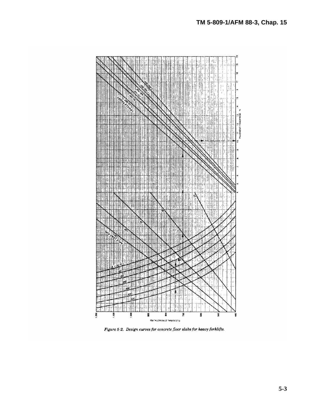

Figure 5-2. Design curves for concrete floor slabs for heavy forklifts.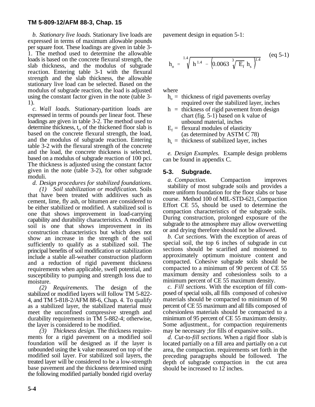*b. Stationary live loads.* Stationary live loads are pavement design in equation 5-1: expressed in terms of maximum allowable pounds per square foot. These loadings are given in table 3- 1. The method used to determine the allowable loads is based on the concrete flexural strength, the slab thickness, and the modulus of subgrade reaction. Entering table 3-1 with the flexural strength and the slab thickness, the allowable stationary live load can be selected. Based on the modulus of subgrade reaction, the load is adjusted using the constant factor given in the note (table 3- 1).

*c. Wall loads.* Stationary-partition loads are expressed in terms of pounds per linear foot. These loadings are given in table 3-2. The method used to determine thickness,  $t_{c}$ , of the thickened floor slab is based on the concrete flexural strength, the load, and the modulus of subgrade reaction. Entering table 3-2 with the flexural strength of the concrete and the load, the concrete thickness is selected, based on a modulus of subgrade reaction of 100 pci. The thickness is adjusted using the constant factor given in the note (table 3-2), for other subgrade moduli.

*d. Design procedures for stabilized foundations. (1) Soil stabilization or modification.* Soils that have been treated with additives such as cement, lime, fly ash, or bitumen are considered to be either stabilized or modified. A stabilized soil is one that shows improvement in load-carrying capability and durability characteristics. A modified soil is one that shows improvement in its construction characteristics but which does not show an increase in the strength of the soil sufficiently to qualify as a stabilized soil. The principal benefits of soil modification or stabilization include a stable all-weather construction platform and a reduction of rigid pavement thickness requirements when applicable, swell potential, and susceptibility to pumping and strength loss due to moisture.

*(2) Requirements.* The design of the stabilized or modified layers will follow TM 5-822- 4, and TM 5-818-2/AFM 88-6, Chap. 4. To qualify as a stabilized layer, the stabilized material must meet the unconfined compressive strength and durability requirements in TM 5-882-4; otherwise, the layer is considered to be modified.

*(3) Thickness design.* The thickness requirements for a rigid pavement on a modified soil foundation will be designed as if the layer is unbounded using the k value measured on top of the modified soil layer. For stabilized soil layers, the treated layer will be considered to be a low-strength base pavement and the thickness determined using the following modified partially bonded rigid overlay

$$
h_o = \sqrt[1.4]{h^{1.4} - \left(0.0063 \sqrt[3]{E_f} h_s\right)^{1.4}}
$$
 (eq 5-1)

where

- $h<sub>o</sub>$  = thickness of rigid pavements overlay required over the stabilized layer, inches
- $h =$  thickness of rigid pavement from design chart (fig. 5-1) based on k value of unbound material, inches
- $E_f$  = flexural modules of elasticity (as determined by ASTM C 78)
- $h<sub>s</sub>$  = thickness of stabilized layer, inches

*e. Design Examples.* Example design problems can be found in appendix C.

# **5-3. Subgrade.**

*a. Compaction.* Compaction improves stabiliity of most subgrade soils and provides a more uniform foundation for the floor slabs or base course. Method 100 of MIL-STD-621, Compaction Effort CE 55, should be used to determine the compaction characteristics of the subgrade soils. During construction, prolonged exposure of the subgrade to the atmosphere may allow overwetting or and drying therefore should not be allowed.

*b. Cut sections.* With the exception of areas of special soil, the top 6 inches of subgrade in cut sections should be scarified and moistened to approximately optimum moisture content and compacted. Cohesive subgrade soils should be compacted to a minimum of 90 percent of CE 55 maximum density and cohesionless soils to a minimum percent of CE 55 maximum density.

*c. Fill sections*. With the exception of fill composed of special soils, all fills composed of cohesive materials should be compacted to minimum of 90 percent of CE 55 maximum and all fills composed of cohesionless materials should be compacted to a minimum of 95 percent of CE 55 maximum density. Some adjustment., for compaction requirements may be necessary ;for fills of expansive soils..

*d. Cut-to-fill sections.* When a rigid floor slab is located partially on a fill area and partially on a cut area, the compaction. requirements set forth in the preceding paragraphs should be followed. The depth of subgrade compaction in the cut area should be increased to 12 inches.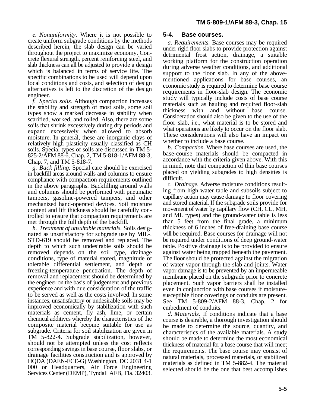*e. Nonuniformity.* Where it is not possible to create uniform subgrade conditions by the methods described herein, the slab design can be varied throughout the project to maximize economy. Concrete flexural strength, percent reinforcing steel, and slab thickness can all be adjusted to provide a design which is balanced in terms of service life. The specific combinations to be used will depend upon local conditions and costs, and selection of design alternatives is left to the discretion of the design engineer.

*f. Special soils.* Although compaction increases the stability and strength of most soils, some soil types show a marked decrease in stability when scarified, worked, and rolled. Also, there are some soils that shrink excessively during dry periods and expand excessively when allowed to absorb moisture. In general, these are inorganic clays of relatively high plasticity usually classified as CH soils. Special types of soils are discussed in TM 5- 825-2/AFM 88-6, Chap. 2, TM 5-818-1/AFM 88-3, Chap. 7, and TM 5-818-7.

*g. Back filling.* Special care should be exercised in backfill areas around walls and columns to ensure compliance with compaction requirements outlined in the above paragraphs. Backfilling around walls and columns should be performed with pneumatic tampers, gasoline-powered tampers, and other mechanized hand-operated devices. Soil moisture content and lift thickness should be carefully controlled to ensure that compaction requirements are met through the full depth of the backfill.

*h. Treatment of unsuitable materials.* Soils designated as unsatisfactory for subgrade use by MIL-. STD-619 should be removed and replaced. The depth to which such undesirable soils should be removed depends on the soil type, drainage conditions, type of material stored, magnitude of tolerable differential settlement, and depth of freezing-temperature penetration. The depth of removal and replacement should be determined by the engineer on the basis of judgement and previous experience and with due consideration of the traffic to be served as well as the costs involved. In some instances, unsatisfactory or undesirable soils may be improved economically by stabilization with such materials as cement, fly ash, lime, or certain chemical additives whereby the characteristics of the composite material become suitable for use as subgrade. Criteria for soil stabilization are given in TM 5-822-4. Subgrade stabilization, however, should not be attempted unless the cost reflects corresponding savings in base course, floor slabs, or drainage facilities construction and is approved by HQDA (DAEN-ECE-G) Washington, DC 2031 4-1 000 or Headquarters, Air Force Engineering Services Center (DEMP), Tyndall AFB, Fla. 32403.

# **5-4. Base courses.**

*a. Requirements.* Base courses may be required under rigid floor slabs to provide protection against detrimental frost action, drainage, a suitable working platform for the construction operation during adverse weather conditions, and additional support to the floor slab. In any of the abovementioned applications for base courses, an economic study is required to determine base course requirements in floor-slab design. The economic study will typically include costs of base course materials such as hauling and required floor-slab thickness with and without base course. Consideration should also be given to the use of the floor slab, i.e., what material is to be stored and what operations are likely to occur on the floor slab. These considerations will also have an impact on whether to include a base course.

*b. Compaction.* Where base courses are used, the base-course materials should be compacted in accordance with the criteria given above. With this in mind, note that compaction of thin base courses placed on yielding subgrades to high densities is difficult.

*c. Drainage.* Adverse moisture conditions resulting from high water table and subsoils subject to capillary action may cause damage to floor covering and stored material. If the subgrade soils provide for movement of water by capillary flow (CH, CL, MH, and ML types) and the ground-water table is less than 5 feet from the final grade, a minimum thickness of 6 inches of free-draining base course will be required. Base courses for drainage will not be required under conditions of deep ground-water table. Positive drainage is to be provided to ensure against water being trapped beneath the pavement. The floor should be protected against the migration of water vapor through the slab and joints. Water vapor damage is to be prevented by an impermeable membrane placed on the subgrade prior to concrete placement. Such vapor barriers shall be installed even in conjunction with base courses if moisturesusceptible floor coverings or conduits are present. See TM 5-809-2/AFM 88-3, Chap. 2 for embedment of conduits.

*d. Materials.* If conditions indicate that a base course is desirable, a thorough investigation should be made to determine the source, quantity, and characteristics of the available materials. A study should be made to determine the most economical thickness of material for a base course that will meet the requirements. The base course may consist of natural materials, processed materials, or stabilized materials as defined in TM 5-882-4. The material selected should be the one that best accomplishes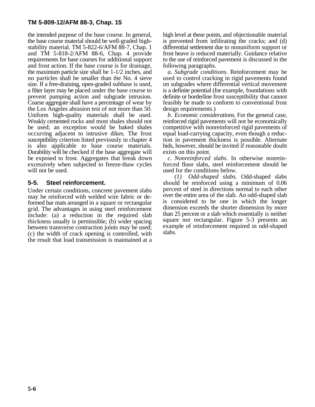the intended purpose of the base course. In general, high level at these points, and objectionable material the base course material should be well-graded high- is prevented from infiltrating the cracks; and (d) stability material. TM 5-822-6/AFM 88-7, Chap. 1 differential settlement due to nonuniform support or and TM 5-818-2/AFM 88-6, Chap. 4 provide frost heave is reduced materially. Guidance relative requirements for base courses for additional support to the use of reinforced pavement is discussed in the and frost action. If the base course is for drainage, following paragraphs. the maximum particle size shall be 1-1/2 inches, and *a. Subgrade conditions.* Reinforcement may be no particles shall be smaller than the No. 4 sieve used to control cracking in rigid pavements found size. If a free-draining, open-graded subbase is used, on subgrades where differential vertical movement a filter layer may be placed under the base course to is a definite potential (for example, foundations with prevent pumping action and subgrade intrusion. definite or borderline frost susceptibility that cannot Coarse aggregate shall have a percentage of wear by feasibly be made to conform to conventional frost the Los Angeles abrasion test of not more than 50. design requirements.) Uniform high-quality materials shall be used. *b. Economic considerations*. For the general case, Weakly cemented rocks and most shales should not reinforced rigid pavements will not be economically be used; an exception would be baked shales competitive with nonreinforced rigid pavements of occurring adjacent to intrusive dikes. The frost equal load-carrying capacity, even though a reducsusceptibility criterion listed previously in chapter 4 tion in pavement thickness is possible. Alternate is also applicable to base course materials. bids, however, should be invited if reasonable doubt Durability will be checked if the base aggregate will exists on this point. be exposed to frost. Aggregates that break down *c. Nonreinforced slabs*. In otherwise nonrein-<br>excessively when subjected to freeze-thaw cycles forced floor slabs, steel reinforcement should be excessively when subjected to freeze-thaw cycles will not be used.  $used$  is a used for the conditions below.

Under certain conditions, concrete pavement slabs may be reinforced with welded wire fabric or deformed bar mats arranged in a square or rectangular grid. The advantages in using steel reinforcement include: (a) a reduction in the required slab thickness usually is permissible; (b) wider spacing between transverse contraction joints may be used; (c) the width of crack opening is controlled, with the result that load transmission is maintained at a frost heave is reduced materially. Guidance relative

on subgrades where differential vertical movement definite or borderline frost susceptibility that cannot

reinforced rigid pavements will not be economically

**5-5. Steel reinforcement.** should be reinforced using a minimum of 0.06 *(1) Odd-shaped slabs.* Odd-shaped slabs percent of steel in directions normal to each other over the entire area of the slab. An odd-shaped slab is considered to be one in which the longer dimension exceeds the shorter dimension by more than 25 percent or a slab which essentially is neither square nor rectangular. Figure 5-3 presents an example of reinforcement required in odd-shaped slabs.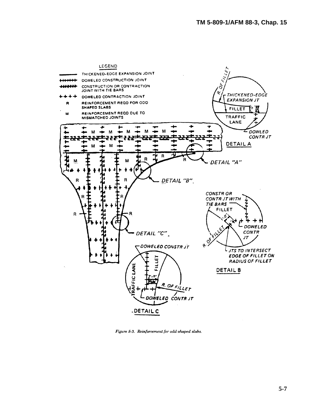

Figure 5-3. Reinforcement for odd-shaped slabs.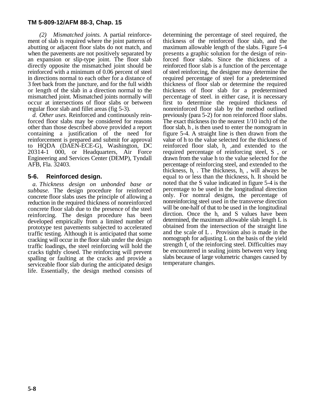ment of slab is required where the joint patterns of thickness of the reinforced floor slab, and the abutting or adjacent floor slabs do not match, and maximum allowable length of the slabs. Figure 5-4 when the pavements are not positively separated by presents a graphic solution for the design of rein-<br>an expansion or slip-type joint. The floor slab forced floor slabs. Since the thickness of a directly opposite the mismatched joint should be reinforced floor slab is a function of the percentage reinforced with a minimum of 0.06 percent of steel of steel reinforcing, the designer may determine the in directions normal to each other for a distance of required percentage of steel for a predetermined 3 feet back from the juncture, and for the full width thickness of floor slab or determine the required or length of the slab in a direction normal to the thickness of floor slab for a predetermined mismatched joint. Mismatched joints normally will percentage of steel. in either case, it is necessary occur at intersections of floor slabs or between first to determine the required thickness of regular floor slab and fillet areas (fig 5-3). nonreinforced floor slab by the method outlined

forced floor slabs may be considered for reasons other than those described above provided a report floor slab, h , is then used to enter the nomogram in containing a justification of the need for figure 5-4. A straight line is then drawn from the reinforcement is prepared and submit for approval value of h to the value selected for the thickness of to HQDA (DAEN-ECE-G), Washington, DC<br>20314-1 000, or Headquarters, Air Force Engineering and Services Center (DEMP), Tyndall drawn from the value h to the value selected for the AFB, Fla. 32403. percentage of reinforcing steel, and extended to the

*a. Thickness design on unbonded base or subbase.* The design procedure for reinforced concrete floor slabs uses the principle of allowing a reduction in the required thickness of nonreinforced concrete floor slab due to the presence of the steel reinforcing. The design procedure has been developed empirically from a limited number of prototype test pavements subjected to accelerated traffic testing. Although it is anticipated that some cracking will occur in the floor slab under the design traffic loadings, the steel reinforcing will hold the cracks tightly closed. The reinforcing will prevent spalling or faulting at the cracks and provide a serviceable floor slab during the anticipated design life. Essentially, the design method consists of

*(2) Mismatched joints.* A partial reinforce- determining the percentage of steel required, the forced floor slabs. Since the thickness of a thickness of floor slab or determine the required *d. Other uses.* Reinforced and continuously rein-<br>
previously (para 5-2) for non reinforced floor slabs.<br>
The exact thickness (to the nearest 1/10 inch) of the required percentage of reinforcing steel, S, or **5-6. Reinforced design.** equal to or less than the thickness, h. It should be reinforced floor slab, h<sub>r</sub>, and extended to the thickness,  $h_r$ . The thickness,  $h_r$ , will always be noted that the S value indicated in figure 5-4 is the percentage to be used in the longitudinal direction only. For nomral designs, the percentage of nonreinforcing steel used in the transverse direction will be one-half of that to be used in the longitudinal dirction. Once the  $h_r$  and S values have been determined, the maximum allowable slab length L is obtained from the intersection of the straight line and the scale of L . Provision also is made in the nomograph for adjusting L on the basis of the yield strength  $f_s$  of the reinforcing steel. Difficulties may be encountered in sealing joints between very long slabs because of large volumetric changes caused by temperature changes.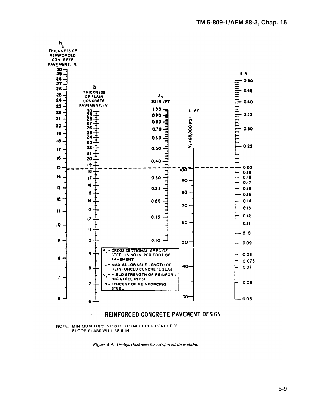

### REINFORCED CONCRETE PAVEMENT DESIGN

NOTE: MINIMUM THICKNESS OF REINFORCED CONCRETE FLOOR SLABS WILL BE 6 IN.

 $\bar{z}$ 

Figure 5-4. Design thickness for reinforced floor slabs.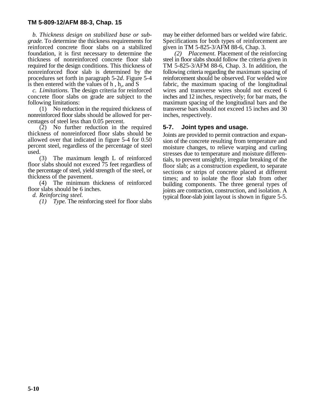*grade.* To determine the thickness requirements for Specifications for both types of reinforcement are reinforced concrete floor slabs on a stabilized given in TM 5-825-3/AFM 88-6, Chap. 3. foundation, it is first necessary to determine the *(2) Placement.* Placement of the reinforcing thickness of nonreinforced concrete floor slab steel in floor slabs should follow the criteria given in required for the design conditions. This thickness of TM 5-825-3/AFM 88-6, Chap. 3. In addition, the nonreinforced floor slab is determined by the following criteria regarding the maximum spacing of procedures set forth in paragraph 5-2*d*. Figure 5-4 reinforcement should be observed. For welded wire is then entered with the values of  $h$ ,  $h_r$ , and S

concrete floor slabs on grade are subject to the inches and 12 inches, respectively; for bar mats, the following limitations: maximum spacing of the longitudinal bars and the

nonreinforced floor slabs should be allowed for per-<br>inches, respectively. centages of steel less than 0.05 percent.

(2) No further reduction in the required **5-7. Joint types and usage.** thickness of nonreinforced floor slabs should be allowed over that indicated in figure 5-4 for 0.50 percent steel, regardless of the percentage of steel used.

(3) The maximum length L of reinforced floor slabs should not exceed 75 feet regardless of the percentage of steel, yield strength of the steel, or thickness of the pavement.

(4) The minimum thickness of reinforced floor slabs should be 6 inches.

*d. Reinforcing steel.*

*(1) Type.* The reinforcing steel for floor slabs

*b. Thickness design on stabilized base or sub-* may be either deformed bars or welded wire fabric.

fabric, the maximum spacing of the longitudinal *c. Limitations.* The design criteria for reinforced wires and transverse wires should not exceed 6 (1) No reduction in the required thickness of transverse bars should not exceed 15 inches and 30

Joints are provided to permit contraction and expansion of the concrete resulting from temperature and moisture changes, to relieve warping and curling stresses due to temperature and moisture differentials, to prevent unsightly, irregular breaking of the floor slab; as a construction expedient, to separate sections or strips of concrete placed at different times; and to isolate the floor slab from other building components. The three general types of joints are contraction, construction, and isolation. A typical floor-slab joint layout is shown in figure 5-5.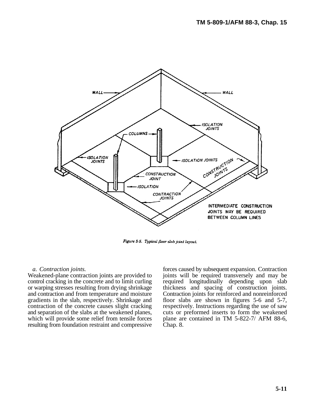

Figure 5-5. Typical floor slab joint layout.

Weakened-plane contraction joints are provided to joints will be required transversely and may be control cracking in the concrete and to limit curling required longitudinally depending upon slab or warping stresses resulting from drying shrinkage thickness and spacing of construction joints. and contraction and from temperature and moisture Contraction joints for reinforced and nonreinforced gradients in the slab, respectively. Shrinkage and floor slabs are shown in figures 5-6 and 5-7, gradients in the slab, respectively. Shrinkage and contraction of the concrete causes slight cracking respectively. Instructions regarding the use of saw and separation of the slabs at the weakened planes, cuts or preformed inserts to form the weakened which will provide some relief from tensile forces plane are contained in TM 5-822-7/ AFM 88-6, resulting from foundation restraint and compressive Chap. 8.

*a. Contraction joints.* forces caused by subsequent expansion. Contraction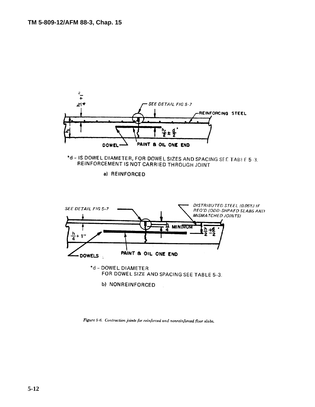

\*d - IS DOWEL DIAMETER, FOR DOWEL SIZES AND SPACING SEE TABLE 5-3. REINFORCEMENT IS NOT CARRIED THROUGH JOINT

a) REINFORCED



Figure 5-6. Contraction joints for reinforced and nonreinforced floor slabs.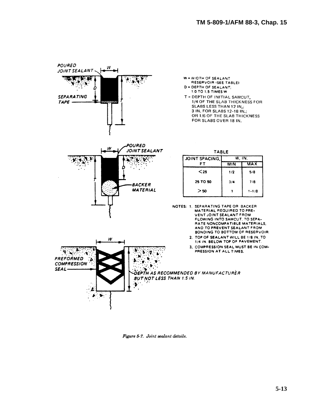

Figure 5-7. Joint sealant details.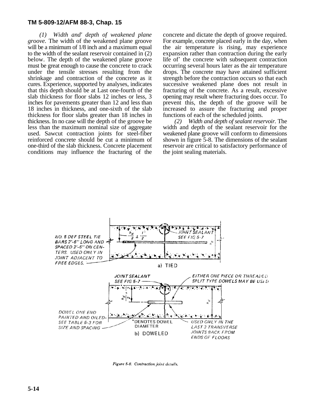*groove.* The width of the weakened plane groove For example, concrete placed early in the day, when will be a minimum of 1/8 inch and a maximum equal the air temperature is rising, may experience to the width of the sealant reservoir contained in (2) expansion rather than contraction during the early below. The depth of the weakened plane groove life of the concrete with subsequent contraction must be great enough to cause the concrete to crack occurring several hours later as the air temperature under the tensile stresses resulting from the drops. The concrete may have attained sufficient shrinkage and contraction of the concrete as it strength before the contraction occurs so that each cures. Experience, supported by analyses, indicates successive weakened plane does not result in that this depth should be at Last one-fourth of the fracturing of the concrete. As a result, excessive slab thickness for floor slabs 12 inches or less, 3 opening may result where fracturing does occur. To inches for pavements greater than 12 and less than prevent this, the depth of the groove will be 18 inches in thickness, and one-sixth of the slab increased to assure the fracturing and proper thickness for floor slabs greater than 18 inches in functions of each of the scheduled joints. thickness. In no case will the depth of the groove be *(2) Width and depth of sealant reservoir.* The less than the maximum nominal size of aggregate width and depth of the sealant reservoir for the used. Sawcut contraction joints for steel-fiber weakened plane groove will conform to dimensions reinforced concrete should be cut a minimum of shown in figure 5-8. The dimensions of the sealant one-third of the slab thickness. Concrete placement reservoir are critical to satisfactory performance of conditions may influence the fracturing of the the joint sealing materials.

*(1) Width and' depth of weakened plane* concrete and dictate the depth of groove required. successive weakened plane does not result in



Figure 5-8. Contraction joint details.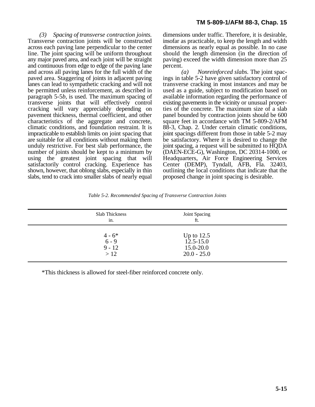Transverse contraction joints will be constructed insofar as practicable, to keep the length and width across each paving lane perpendicular to the center dimensions as nearly equal as possible. In no case line. The joint spacing will be uniform throughout should the length dimension (in the direction of any major paved area, and each joint will be straight paving) exceed the width dimension more than 25 and continuous from edge to edge of the paving lane percent. and across all paving lanes for the full width of the *(a) Nonreinforced slabs.* The joint spacpaved area. Staggering of joints in adjacent paving ings in table 5-2 have given satisfactory control of lanes can lead to sympathetic cracking and will not transverse cracking in most instances and may be be permitted unless reinforcement, as described in used as a guide, subject to modification based on paragraph 5-5*b*, is used. The maximum spacing of available information regarding the performance of paragraph  $5-5b$ , is used. The maximum spacing of transverse joints that will effectively control existing pavements in the vicinity or unusual propercracking will vary appreciably depending on ties of the concrete. The maximum size of a slab pavement thickness, thermal coefficient, and other panel bounded by contraction joints should be 600 characteristics of the aggregate and concrete, square feet in accordance with TM 5-809-2/AFM characteristics of the aggregate and concrete, climatic conditions, and foundation restraint. It is 88-3, Chap. 2. Under certain climatic conditions, impracticable to establish limits on joint spacing that joint spacings different from those in table 5-2 may are suitable for all conditions without making them be satisfactory. Where it is desired to change the unduly restrictive. For best slab performance, the joint spacing, a request will be submitted to HQDA number of joints should be kept to a minimum by (DAEN-ECE-G), Washington, DC 20314-1000, or using the greatest joint spacing that will satisfactorily control cracking. Experience has shown, however, that oblong slabs, especially in thin outlining the local conditions that indicate that the slabs, tend to crack into smaller slabs of nearly equal proposed change in joint spacing is desirable.

*(3) Spacing of transverse contraction joints.* dimensions under traffic. Therefore, it is desirable, should the length dimension (in the direction of

> transverse cracking in most instances and may be (DAEN-ECE-G), Washington, DC 20314-1000, or<br>Headquarters, Air Force Engineering Services Center (DEMP), Tyndall, AFB, Fla. 32403,

| Slab Thickness<br>in.                  | Joint Spacing<br>ft.                                  |  |
|----------------------------------------|-------------------------------------------------------|--|
| $4 - 6*$<br>$6 - 9$<br>$9 - 12$<br>>12 | Up to 12.5<br>12.5-15.0<br>15.0-20.0<br>$20.0 - 25.0$ |  |

\*This thickness is allowed for steel-fiber reinforced concrete only.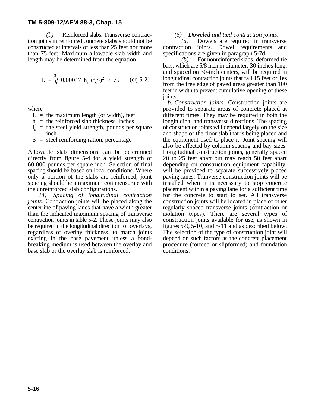*(b)* Reinforced slabs. Transverse contrac- *(5) Doweled and tied contraction joints.* tion joints in reinforced concrete slabs should not be *(a)* Dowels are required in transverse than 75 feet. Maximum allowable slab width and length may be determined from the equation *(b)* For nonreinforced slabs, deformed tie

$$
L = \sqrt[3]{0.00047 h_r (f_s S)^2} \le 75 \qquad (eq 5-2)
$$

- 
- 
- 
- 

directly from figure 5-4 for a yield strength of 20 to 25 feet apart but may reach 50 feet apart 60,000 pounds per square inch. Selection of final depending on construction equipment capability, spacing should be based on local conditions. Where will be provided to separate successively placed only a portion of the slabs are reinforced, joint paving lanes. Tranverse construction joints will be spacing should be a maximum commensurate with installed when it is necessary to stop concrete the unreinforced slab configurations. placement within a paving lane for a sufficient time

*joints.* Contraction joints will be placed along the construction joints will be located in place of other centerline of paving lanes that have a width greater regularly spaced transverse joints (contraction or than the indicated maximum spacing of transverse isolation types). There are several types of contraction joints in table 5-2. These joints may also construction joints available for use, as shown in be required in the longitudinal direction for overlays, figures 5-9, 5-10, and 5-11 and as described below. regardless of overlay thickness, to match joints The selection of the type of construction joint will existing in the base pavement unless a bond- depend on such factors as the concrete placement breaking medium is used between the overlay and procedure (formed or slipformed) and foundation base slab or the overlay slab is reinforced. conditions.

constructed at intervals of less than 25 feet nor more contraction joints. Dowel requirements and than 75 feet. Maximum allowable slab width and specifications are given in paragraph 5-7d.

bars, which are 5/8 inch in diameter, 30 inches long, and spaced on 30-inch centers, will be required in longitudinal contraction joints that fall 15 feet or 1es from the free edge of paved areas greater than 100 feet in width to prevent cumulative opening of these joints.

where **provided** to separate areas of concrete placed at  $\alpha$  $L =$  the maximum length (or width), feet different times. They may be required in both the  $h<sub>r</sub> =$  the reinforced slab thickness, inches longitudinal and transverse directions. The spacing  $h_r$  = the reinforced slab thickness, inches longitudinal and transverse directions. The spacing  $f_s$  = the steel yield strength, pounds per square of construction joints will depend largely on the size fracel yield strength, pounds per square of construction joints will depend largely on the size<br>inch and shape of the floor slab that is being placed and and shape of the floor slab that is being placed and S = steel reinforcing ration, percentage the equipment used to place it. Joint spacing will Allowable slab dimensions can be determined Longitudinal construction joints, generally spaced *(4) Spacing of longitudinal contraction* for the concrete to start to set. All transverse construction joints available for use, as shown in *b. Construction joints.* Construction joints are also be affected by column spacing and bay sizes.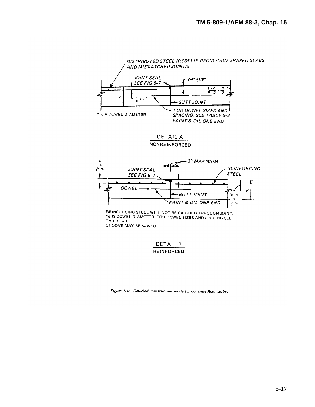

### **DETAIL B REINFORCED**

Figure 5-9. Doweled construction joints for concrete floor slabs.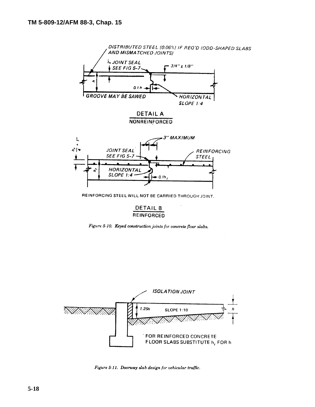

**DETAIL B** REINFORCED





Figure 5-11. Doorway slab design for vehicular traffic.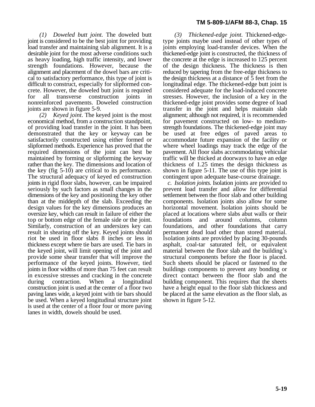joint is considered to be the best joint for providing type joints maybe used instead of other types of load transfer and maintaining slab alignment. It is a joints employing load-transfer devices. When the desirable joint for the most adverse conditions such thickened-edge joint is constructed, the thickness of as heavy loading, high traffic intensity, and lower the concrete at the edge is increased to 125 percent strength foundations. However, because the of the design thickness. The thickness is then alignment and placement of the dowel bars are criti- reduced by tapering from the free-edge thickness to cal to satisfactory performance, this type of joint is the design thickness at a distance of 5 feet from the difficult to construct, especially for slipformed con- longitudinal edge. The thickened-edge butt joint is crete. However, the doweled butt joint is required considered adequate for the load-induced concrete for all transverse construction joints in stresses. However, the inclusion of a key in the nonreinforced pavements. Doweled construction thickened-edge joint provides some degree of load

economical method, from a construction standpoint, for pavement constructed on low- to mediumof providing load transfer in the joint. It has been strength foundations. The thickened-edge joint may demonstrated that the key or keyway can be be used at free edges of paved areas to satisfactorily constructed using either formed or accommodate future expansion of the facility or slipformed methods. Experience has proved that the where wheel loadings may track the edge of the required dimensions of the joint can best be pavement. All floor slabs accommodating vehicular maintained by forming or slipforming the keyway traffic will be thicked at doorways to have an edge rather than the key. The dimensions and location of thickness of 1.25 times the design thickness as the key (fig 5-10) are critical to its performance. shown in figure 5-11. The use of this type joint is The structural adequacy of keyed ed construction contingent upon adequate base-course drainage. joints in rigid floor slabs, however, can be impaired *c. Isolation joints.* Isolation joints are provided to seriously by such factors as small changes in the prevent load transfer and allow for differential dimensions of the key and positioning the key other settlement between the floor slab and other building than at the middepth of the slab. Exceeding the components. Isolation joints also allow for some design values for the key dimensions produces an horizontal movement. Isolation joints should be oversize key, which can result in failure of either the placed at locations where slabs abut walls or their top or bottom edge of the female side or the joint. foundations and around columns, column Similarly, construction of an undersizes key can foundations, and other foundations that carry result in shearing off the key. Keyed joints should permanent dead load other than stored material. riot be used in floor slabs 8 inches or less in Isolation joints are provided by placing 30-pounds thickness except where tie bars are used. Tie bars in asphalt, coal-tar saturated felt, or equivalent the keyed joint, will limit opening of the joint and material between the floor slab and the building's provide some shear transfer that will improve the structural components before the floor is placed. performance of the keyed joints. However, tied Such sheets should be placed or fastened to the joints in floor widths of more than 75 feet can result buildings components to prevent any bonding or in excessive stresses and cracking in the concrete direct contact between the floor slab and the during contraction. When a longitudinal building component. This requires that the sheets construction joint is used at the center of a floor two have a height equal to the floor slab thickness and paving lanes wide, a keyed joint with tie bars should be placed at the same elevation as the floor slab, as be used. When a keyed longitudinal structure joint shown in figure 5-12. is used at the center of a floor four or more paving lanes in width, dowels should be used.

*(1) Doweled butt joint.* The doweled butt *(3) Thickened-edge joint.* Thickened-edgejoints are shown in figure 5-9. transfer in the joint and helps maintain slab *(2) Keyed joint*. The keyed joint is the most alignment; although not required, it is recommended pavement. All floor slabs accommodating vehicular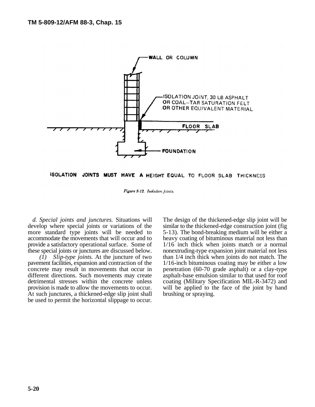

ISOLATION JOINTS MUST HAVE A HEIGHT EQUAL TO FLOOR SLAB THICKNESS

Figure 5-12. Isolation joints.

develop where special joints or variations of the similar to the thickened-edge construction joint (fig more standard type joints will be needed to 5-13). The bond-breaking medium will be either a accommodate the movements that will occur and to heavy coating of bituminous material not less than provide a satisfactory operational surface. Some of 1/16 inch thick when joints match or a normal these special joints or junctures are discussed below. nonextruding-type expansion joint material not less

pavement facilities, expansion and contraction of the 1/16-inch bituminous coating may be either a low concrete may result in movements that occur in penetration (60-70 grade asphalt) or a clay-type different directions. Such movements may create asphalt-base emulsion similar to that used for roof detrimental stresses within the concrete unless coating (Military Specification MIL-R-3472) and provision is made to allow the movements to occur. will be applied to the face of the joint by hand At such junctures, a thickened-edge slip joint shall brushing or spraying. be used to permit the horizontal slippage to occur.

*d. Special joints and junctures.* Situations will The design of the thickened-edge slip joint will be *(1) Slip-type joints.* At the juncture of two than 1/4 inch thick when joints do not match. The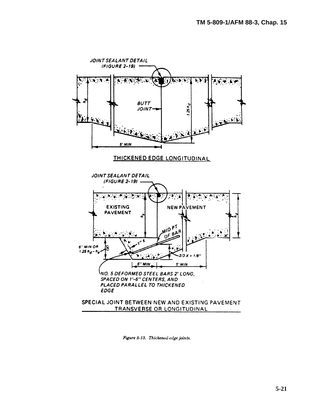

TRANSVERSE OR LONGITUDINAL

Figure 5-13. Thickened-edge joints.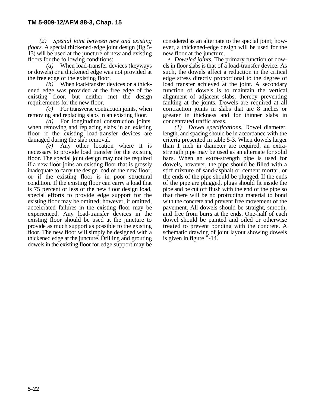*floors.* A special thickened-edge joint design (fig 5- ever, a thickened-edge design will be used for the 13) will be used at the juncture of new and existing new floor at the juncture. 13) will be used at the juncture of new and existing. floors for the following conditions: *e. Doweled joints.* The primary function of dow-

or dowels) or a thickened edge was not provided at such, the dowels affect a reduction in the critical

ened edge was provided at the free edge of the function of dowels is to maintain the vertical existing floor, but neither met the design alignment of adjacent slabs, thereby preventing requirements for the new floor. faulting at the joints. Dowels are required at all

removing and replacing slabs in an existing floor. greater in thickness and for thinner slabs in

*(d)* For longitudinal construction joints, concentrated traffic areas. when removing and replacing slabs in an existing. floor if the existing load-transfer devices are length, and spacing should be in accordance with the damaged during the slab removal. criteria presented in table 5-3. When dowels larger

necessary to provide load transfer for the existing strength pipe may be used as an alternate for solid floor. The special joint design may not be required bars. When an extra-strength pipe is used for if a new floor joins an existing floor that is grossly dowels, however, the pipe should be filled with a inadequate to carry the design load of the new floor, stiff mixture of sand-asphalt or cement mortar, or or if the existing floor is in poor structural the ends of the pipe should be plugged. If the ends condition. If the existing floor can carry a load that of the pipe are plugged, plugs should fit inside the is 75 percent or less of the new floor design load, pipe and be cut off flush with the end of the pipe so special efforts to provide edge support for the that there will be no protruding material to bond existing floor may be omitted; however, if omitted, with the concrete and prevent free movement of the accelerated failures in the existing floor may be pavement. All dowels should be straight, smooth, experienced. Any load-transfer devices in the and free from burrs at the ends. One-half of each existing floor should be used at the juncture to dowel should be painted and oiled or otherwise provide as much support as possible to the existing treated to prevent bonding with the concrete. A floor. The new floor will simply be designed with a schematic drawing of joint layout showing dowels thickened edge at the juncture. Drilling and grouting is given in figure 5-14. dowels in the existing floor for edge support may be

*(2) Special joint between new and existing* considered as an alternate to the special joint; how-

*(a)* When load-transfer devices (keyways els in floor slabs is that of a load-transfer device. As the free edge of the existing floor. edge stress directly proportional to the degree of  $(b)$  When load-transfer devices or a thick-<br>load transfer achieved at the joint. A secondary load transfer achieved at the joint. A secondary *(c)* For transverse contraction joints, when contraction joints in slabs that are 8 inches or

*(e)* Any other location where it is than 1 inch in diameter are required, an extradowel should be painted and oiled or otherwise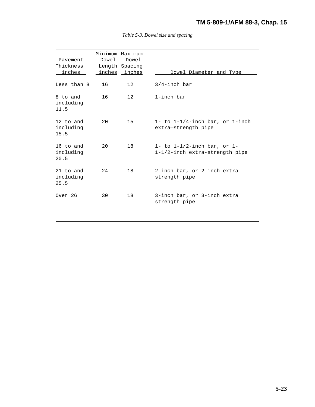| Pavement<br>Thickness<br>inches | Minimum Maximum<br>Dowel | Dowel<br>Length Spacing<br>inches inches | Dowel Diameter and Type                                          |
|---------------------------------|--------------------------|------------------------------------------|------------------------------------------------------------------|
| Less than 8                     | 16                       | 12                                       | $3/4$ -inch bar                                                  |
| 8 to and<br>including<br>11.5   | 16                       | 12                                       | $1$ -inch bar                                                    |
| 12 to and<br>including<br>15.5  | 2.0                      | 15                                       | 1- to $1-1/4$ -inch bar, or 1-inch<br>extra-strength pipe        |
| 16 to and<br>including<br>20.5  | 20                       | 18                                       | 1- to $1-1/2$ -inch bar, or 1-<br>1-1/2-inch extra-strength pipe |
| 21 to and<br>including<br>25.5  | 2.4                      | 18                                       | 2-inch bar, or 2-inch extra-<br>strength pipe                    |
| Over 26                         | 30                       | 18                                       | 3-inch bar, or 3-inch extra<br>strength pipe                     |

*Table 5-3. Dowel size and spacing*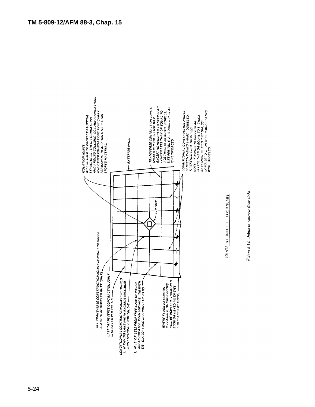

Figure 5-14. Joints in concrete floor slabs.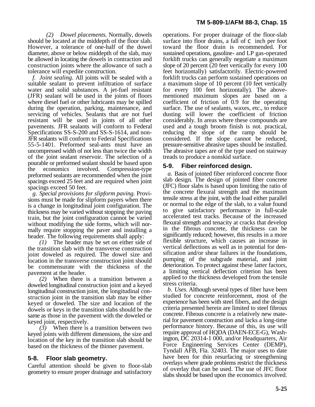should be located at the middepth of the floor slab. surface into floor drains, a fall of  $\bf{C}$  inch per foot However, a tolerance of one-half of the dowel toward the floor drain is recommended. For diameter, above or below middepth of the slab, may sustained operations, gasoline- and LP gas-operated be allowed in locating the dowels in contraction and forklift trucks can generally negotiate a maximum construction joints where the allowance of such a slope of 20 percent (20 feet vertically for every 100 tolerance will expedite construction. feet horizontally) satisfactorily. Electric-powered

*f. Joint sealing.* All joints will be sealed with a forklift trucks can perform sustained operations on suitable sealant to prevent infiltration of surface a maximum slope of 10 percent (10 feet vertically water and solid substances. A jet-fuel resistant for every 100 feet horizontally). The above-(JFR) sealant will be used in the joints of floors mentioned maximum slopes are based on a where diesel fuel or other lubricants may be spilled coefficient of friction of 0.9 for the operating during the operation, parking, maintenance, and surface. The use of sealants, waxes, etc., to reduce servicing of vehicles. Sealants that are not fuel dusting will lower the coefficient of friction resistant will be used in joints of all other considerably. In areas where these compounds are pavements. JFR sealants will conform to Federal used and a tough broom finish is not. practical, Specifications SS-S-200 and SS-S-1614, and non-<br>reducing the slope of the ramp should be JFR sealants will conform to Federal Specifications considered. If the slope cannot be reduced, 55-5-1401. Preformed seal-ants must have an pressure-sensitive abrasive tapes should be installed. uncompressed width of not less than twice the width The abrasive tapes are of the type used on stairway of the joint sealant reservoir. The selection of a treads to produce a nonskid surface. of the joint sealant reservoir. The selection of a pourable or preformed sealant should be based upon the economics involved. Compression-type preformed sealants are recommended when the joint spacings exceed 25 feet and are required when joint spacings exceed 50 feet.

*g. Special provisions for slipform paving.* Provisions must be made for slipform payers when there is a change in longitudinal joint configuration. The thickness may be varied without stopping the paving train, but the joint configuration cannot be varied without modifying the side forms, which will normally require stopping the paver and installing a header. The following requirements shall apply:

*(1)* The header may be set on either side of the transition slab with the transverse construction joint doweled as required. The dowel size and location in the transverse construction joint should be commensurate with the thickness of the pavement at the header.

*(2)* When there is a transition between a doweled longitudinal construction joint and a keyed longitudinal construction joint, the longitudinal construction joint in the transition slab may be either keyed or doweled. The size and location of the dowels or keys in the transition slabs should be the same as those in the pavement with the doweled or keyed joint, respectively.

*(3)* When there is a transition between two keyed joints with different dimensions, the size and location of the key in the transition slab should be based on the thickness of the thinner pavement.

# **5-8. Floor slab geometry.**

Careful attention should be given to floor-slab geometry to ensure proper drainage and satisfactory

*(2) Dowel placements.* Normally, dowels operations. For proper drainage of the floor-slab reducing the slope of the ramp should be

# **5-9. Fiber reinforced design.**

*a.* Basis of jointed fiber reinforced concrete floor slab design. The design of jointed fiber concrete (JFC) floor slabs is based upon limiting the ratio of the concrete flexural strength and the maximum tensile stress at the joint, with the load either parallel or normal to the edge of the slab, to a value found to give satisfactory performance in full-scale accelerated test tracks. Because of the increased flexural strength and tenacity at cracks that develop in the fibrous concrete, the thickness can be significantly reduced; however, this results in a more flexible structure, which causes an increase in vertical deflections as well as in potential for densification and/or shear failures in the foundations, pumping of the subgrade material, and joint deterioration. To protect against these latter factors, a limiting vertical deflection criterion has been applied to the thickness developed from the tensile stress criteria.

*b. Uses.* Although several types of fiber have been studied for concrete reinforcement, most of the experience has been with steel fibers, and the design criteria presented herein are limited to steel fibrous concrete. Fibrous concrete is a relatively new material for pavement construction and lacks a long-time performance history. Because of this, its use will require approval of HQDA (DAEN-ECE-G), Washington, DC 20314-1 000, and/or Headquarters, Air Force Engineering Services Center (DEMP), Tyndall AFB, Fla. 32403. The major uses to date have been for thin resurfacing or strengthening overlays where grade problems restrict the thickness of overlay that can be used. The use of JFC floor slabs should be based upon the economics involved.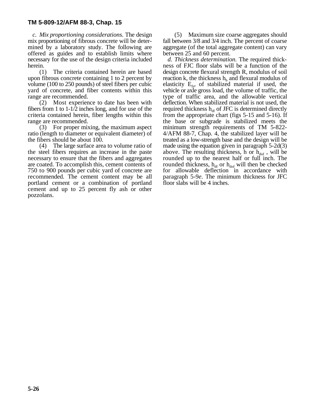mix proportioning of fibrous concrete will be deter-<br>fall between  $3/8$  and  $3/4$  inch. The percent of coarse mined by a laboratory study. The following are aggregate (of the total aggregate content) can vary offered as guides and to establish limits where between 25 and 60 percent. necessary for the use of the design criteria included *d. Thickness determination.* The required thickherein. **ness of FJC** floor slabs will be a function of the

upon fibrous concrete containing 1 to 2 percent by reaction k, the thickness  $h_b$  and flexural modulus of volume (100 to 250 pounds) of steel fibers per cubic elasticity  $E_{fs}$ , of stabilized material if used, the yard of concrete, and fiber contents within this vehicle or axle gross load, the volume of traffic, the range are recommended. type of traffic area, and the allowable vertical

fibers from 1 to 1-1/2 inches long, and for use of the required thickness  $h_{df}$  of JFC is determined directly criteria contained herein, fiber lengths within this from the appropriate chart (figs 5-15 and 5-16). If range are recommended. The base or subgrade is stabilized meets the

ratio (length to diameter or equivalent diameter) of 4/AFM 88-7, Chap. 4, the stabilized layer will be

the steel fibers requires an increase in the paste above. The resulting thickness, h or  $h_{\text{dof}}$ , will be necessary to ensure that the fibers and aggregates rounded up to the nearest half or full inch. The are coated. To accomplish this, cement contents of rounded thickness,  $h_{df}$  or  $h_{dot}$  will then be checked 750 to 900 pounds per cubic yard of concrete are for allowable deflection in accordance with recommended. The cement content may be all paragraph 5-9*e*. The minimum thickness for JFC portland cement or a combination of portland floor slabs will be 4 inches. cement and up to 25 percent fly ash or other pozzolans.

*c. Mix proportioning considerations.* The design (5) Maximum size coarse aggregates should

(1) The criteria contained herein are based design concrete flexural strength R, modulus of soil (2) Most experience to date has been with deflection. When stabilized material is not used, the (3) For proper mixing, the maximum aspect minimum strength requirements of TM 5-822 the fibers should be about 100. treated as a low-strength base and the design will be (4) The large surface area to volume ratio of made using the equation given in paragraph 5-2d(3)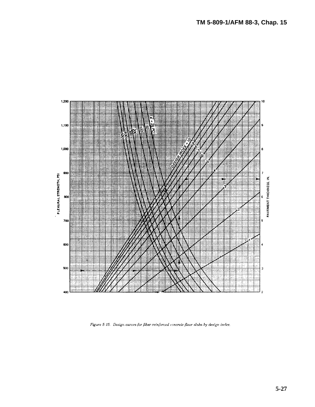

Figure 5-15. Design curves for fiber-reinforced concrete floor slabs by design index.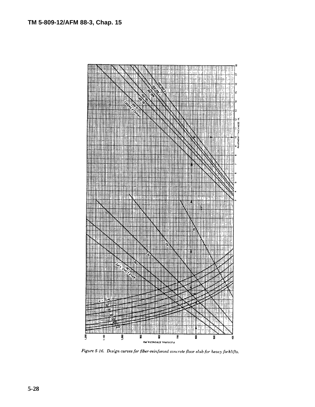

Figure 5-16. Design curves for fiber-reinforced concrete floor slab for heavy forklifts.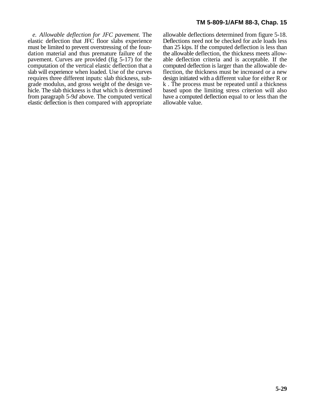elastic deflection that JFC floor slabs experience Deflections need not be checked for axle loads less must be limited to prevent overstressing of the foun-<br>dation material and thus premature failure of the dlowable deflection, the thickness meets allowpavement. Curves are provided (fig 5-17) for the computation of the vertical elastic deflection that a slab will experience when loaded. Use of the curves flection, the thickness must be increased or a new requires three different inputs: slab thickness, sub-<br>grade modulus, and gross weight of the design ve-<br>k. The process must be repeated until a thickness grade modulus, and gross weight of the design ve-<br>hicle. The slab thickness is that which is determined based upon the limiting stress criterion will also hicle. The slab thickness is that which is determined based upon the limiting stress criterion will also from paragraph 5-9d above. The computed vertical have a computed deflection equal to or less than the elastic deflection is then compared with appropriate allowable value.

*e. Allowable deflection for JFC pavement.* The allowable deflections determined from figure 5-18. the allowable deflection, the thickness meets allowable deflection criteria and is acceptable. If the computed deflection is larger than the allowable dehave a computed deflection equal to or less than the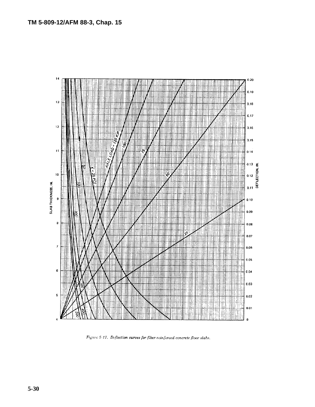

Figure 5-17. Deflection curves for fiber-reinforced concrete floor slabs.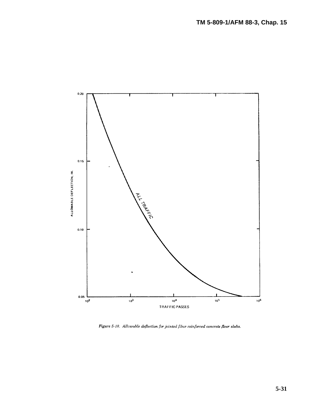

Figure 5-18. Allowable deflection for jointed fiber-reinforced concrete floor slabs.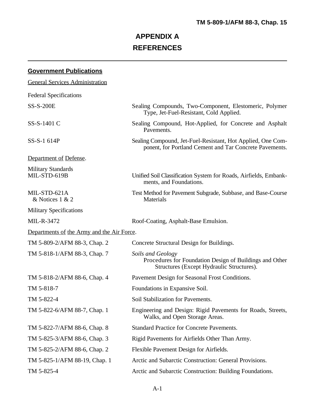# **APPENDIX A REFERENCES**

# **Government Publications**

| <b>General Services Administration</b>     |                                                                                                                           |
|--------------------------------------------|---------------------------------------------------------------------------------------------------------------------------|
| <b>Federal Specifications</b>              |                                                                                                                           |
| <b>SS-S-200E</b>                           | Sealing Compounds, Two-Component, Elestomeric, Polymer<br>Type, Jet-Fuel-Resistant, Cold Applied.                         |
| SS-S-1401 C                                | Sealing Compound, Hot-Applied, for Concrete and Asphalt<br>Pavements.                                                     |
| SS-S-1 614P                                | Sealing Compound, Jet-Fuel-Resistant, Hot Applied, One Com-<br>ponent, for Portland Cement and Tar Concrete Pavements.    |
| Department of Defense.                     |                                                                                                                           |
| <b>Military Standards</b>                  |                                                                                                                           |
| MIL-STD-619B                               | Unified Soil Classification System for Roads, Airfields, Embank-<br>ments, and Foundations.                               |
| MIL-STD-621A<br>& Notices 1 & 2            | Test Method for Pavement Subgrade, Subbase, and Base-Course<br>Materials                                                  |
| <b>Military Specifications</b>             |                                                                                                                           |
| MIL-R-3472                                 | Roof-Coating, Asphalt-Base Emulsion.                                                                                      |
| Departments of the Army and the Air Force. |                                                                                                                           |
| TM 5-809-2/AFM 88-3, Chap. 2               | Concrete Structural Design for Buildings.                                                                                 |
| TM 5-818-1/AFM 88-3, Chap. 7               | Soils and Geology<br>Procedures for Foundation Design of Buildings and Other<br>Structures (Except Hydraulic Structures). |
| TM 5-818-2/AFM 88-6, Chap. 4               | Pavement Design for Seasonal Frost Conditions.                                                                            |
| TM 5-818-7                                 | Foundations in Expansive Soil.                                                                                            |
| TM 5-822-4                                 | Soil Stabilization for Pavements.                                                                                         |
| TM 5-822-6/AFM 88-7, Chap. 1               | Engineering and Design: Rigid Pavements for Roads, Streets,<br>Walks, and Open Storage Areas.                             |
| TM 5-822-7/AFM 88-6, Chap. 8               | <b>Standard Practice for Concrete Pavements.</b>                                                                          |
| TM 5-825-3/AFM 88-6, Chap. 3               | Rigid Pavements for Airfields Other Than Army.                                                                            |
| TM 5-825-2/AFM 88-6, Chap. 2               | Flexible Pavement Design for Airfields.                                                                                   |
| TM 5-825-1/AFM 88-19, Chap. 1              | Arctic and Subarctic Construction: General Provisions.                                                                    |
| TM 5-825-4                                 | Arctic and Subarctic Construction: Building Foundations.                                                                  |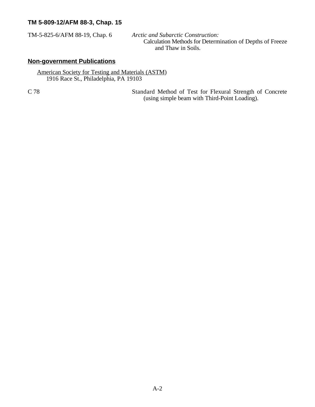TM-5-825-6/AFM 88-19, Chap. 6 *Arctic and Subarctic Construction:* Calculation Methods for Determination of Depths of Freeze and Thaw in Soils.

# **Non-government Publications**

American Society for Testing and Materials (ASTM) 1916 Race St., Philadelphia, PA 19103

C 78 Standard Method of Test for Flexural Strength of Concrete (using simple beam with Third-Point Loading).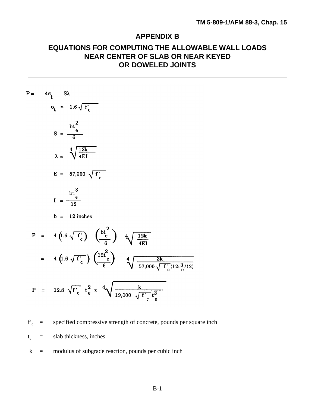# **APPENDIX B**

# **EQUATIONS FOR COMPUTING THE ALLOWABLE WALL LOADS NEAR CENTER OF SLAB OR NEAR KEYED OR DOWELED JOINTS**

P=
$$
4\sigma_t
$$
 S $\lambda$   
\n $\sigma_t = 1.6\sqrt{f'_c}$   
\nS =  $\frac{bt_e^2}{6}$   
\n $\lambda = \sqrt[4]{\frac{12k}{4EI}}$   
\nE = 57,000  $\sqrt{f'_c}$   
\nI =  $\frac{bt_e^3}{12}$   
\nb = 12 inches  
\nP = 4 (1.6  $\sqrt{f'_c}$ )  $\left(\frac{bt_e^2}{6}\right)$  4  $\sqrt{\frac{12k}{4EI}}$   
\n= 4 (1.6  $\sqrt{f'_c}$ )  $\left(\frac{12t_e^2}{6}\right)$  4  $\sqrt{\frac{3k}{57,000}\sqrt{f'_c}(12t_e^3/12)}}$   
\nP = 12.8  $\sqrt{f'_c}$   $t_e^2$  x  $4\sqrt{\frac{k}{19,000}\sqrt{f'_c}(12t_e^3/12)}}$ 

 $f_c$  = specified compressive strength of concrete, pounds per square inch

 $t_e$  = slab thickness, inches

 $k =$  modulus of subgrade reaction, pounds per cubic inch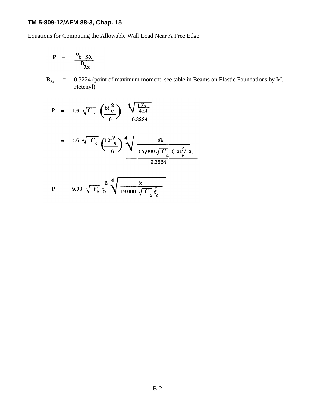Equations for Computing the Allowable Wall Load Near A Free Edge

$$
P = \frac{\sigma_{t} S \lambda}{B_{\lambda x}}
$$

 $B_{\lambda x}$  = 0.3224 (point of maximum moment, see table in <u>Beams on Elastic Foundations</u> by M. Hetenyl)

$$
P = 1.6 \sqrt{f'_{c}} \left(\frac{bt_{e}^{2}}{6}\right) \frac{4 \sqrt{\frac{12k}{4EI}}}{0.3224}
$$

$$
= 1.6 \sqrt{f'} c \left(\frac{12t_e^2}{6}\right)^4 \sqrt{\frac{3k}{57,000\sqrt{f'} c \left(12t_e^{3/12}\right)}}}{0.3224}
$$

$$
P = 9.93 \sqrt{f'_c} t_6^2 \sqrt[2]{\frac{k}{19,000 \sqrt{f'_c} t_c^3}}
$$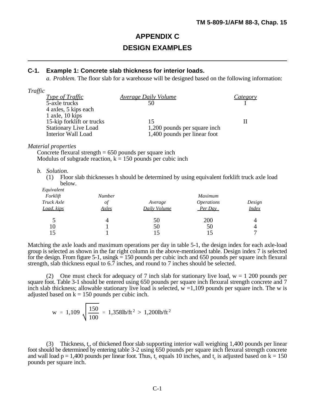# **APPENDIX C DESIGN EXAMPLES**

# **C-1. Example 1: Concrete slab thickness for interior loads.**

*a. Problem.* The floor slab for a warehouse will be designed based on the following information:

| Traffic                     |                              |                 |
|-----------------------------|------------------------------|-----------------|
| <i>Type of Traffic</i>      | <b>Average Daily Volume</b>  | <i>Category</i> |
| 5-axle trucks               |                              |                 |
| 4 axles, 5 kips each        |                              |                 |
| $1$ axle, $10$ kips         |                              |                 |
| 15-kip forklift or trucks   | 15                           |                 |
| <b>Stationary Live Load</b> | 1,200 pounds per square inch |                 |
| Interior Wall Load          | 1,400 pounds per linear foot |                 |

### *Material properties*

Concrete flexural strength  $= 650$  pounds per square inch Modulus of subgrade reaction,  $k = 150$  pounds per cubic inch

*b. Solution.*

(1) Floor slab thicknesses h should be determined by using equivalent forklift truck axle load below.

| Equivalent |  |
|------------|--|
|            |  |

| Equivalent |               |              |                          |              |
|------------|---------------|--------------|--------------------------|--------------|
| Forklift   | <b>Number</b> |              | Maximum                  |              |
| Truck Axle | οf            | Average      | <i><b>Operations</b></i> | Design       |
| Load, kips | <u>Axles</u>  | Daily Volume | $Per$ Day                | <b>Index</b> |
|            |               | 50           | 200                      |              |
|            |               | 50           | 50                       |              |
|            |               |              |                          |              |
|            |               |              |                          |              |

Matching the axle loads and maximum operations per day in table 5-1, the design index for each axle-load group is selected as shown in the far right column in the above-mentioned table. Design index 7 is selected for the design. From figure 5-1, using  $k = 150$  pounds per cubic inch and 650 pounds per square inch flexural strength, slab thickness equal to 6.7 inches, and round to 7 inches should be selected.

(2) One must check for adequacy of 7 inch slab for stationary live load,  $w = 1,200$  pounds per square foot. Table 3-1 should be entered using 650 pounds per square inch flexural strength concrete and 7 inch slab thickness; allowable stationary live load is selected,  $\overline{w}$  =1,109 pounds per square inch. The w is adjusted based on  $k = 150$  pounds per cubic inch.

$$
w = 1,109 \sqrt{\frac{150}{100}} = 1,358 \text{lb/ft}^2 > 1,200 \text{lb/ft}^2
$$

(3) Thickness,  $t_n$ , of thickened floor slab supporting interior wall weighing 1,400 pounds per linear foot should be determined by entering table 3-2 using 650 pounds per square inch flexural strength concrete and wall load  $p = 1,400$  pounds per linear foot. Thus,  $t_c$  equals 10 inches, and  $t_c$  is adjusted based on  $k = 150$ pounds per square inch.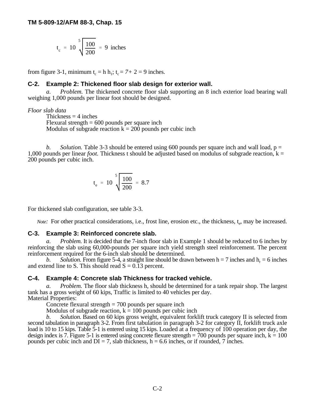$$
t_c = 10 \sqrt[5]{\frac{100}{200}} = 9
$$
 inches

from figure 3-1, minimum  $t_c = h h_1$ ;  $t_c = 7 + 2 = 9$  inches.

# **C-2. Example 2: Thickened floor slab design for exterior wall.**

*Problem.* The thickened concrete floor slab supporting an 8 inch exterior load bearing wall weighing 1,000 pounds per linear foot should be designed.

*Floor slab data*

Thickness  $=$  4 inches Flexural strength  $= 600$  pounds per square inch Modulus of subgrade reaction  $k = 200$  pounds per cubic inch

*b. Solution.* Table 3-3 should be entered using 600 pounds per square inch and wall load,  $p =$ 1,000 pounds per linear *foot.* Thickness t should be adjusted based on modulus of subgrade reaction, k = 200 pounds per cubic inch.

$$
t_{\rm e} = 10 \sqrt[5]{\frac{100}{200}} = 8.7
$$

For thickened slab configuration, see table 3-3.

*Note*: For other practical considerations, i.e., frost line, erosion etc., the thickness, t<sub>e</sub>, may be increased.

## **C-3. Example 3: Reinforced concrete slab.**

*a. Problem.* It is decided that the 7-inch floor slab in Example 1 should be reduced to 6 inches by reinforcing the slab using 60,000-pounds per square inch yield strength steel reinforcement. The percent reinforcement required for the 6-inch slab should be determined.<br>b. Solution. From figure 5-4, a straight line should be dra

*Solution.* From figure 5-4, a straight line should be drawn between  $h = 7$  inches and  $h = 6$  inches and extend line to S. This should read  $S = 0.13$  percent.

# **C-4. Example 4: Concrete slab Thickness for tracked vehicle.**

*a. Problem.* The floor slab thickness h, should be determined for a tank repair shop. The largest tank has a gross weight of 60 kips, Traffic is limited to 40 vehicles per day. Material Properties:

Concrete flexural strength  $= 700$  pounds per square inch

Modulus of subgrade reaction,  $k = 100$  pounds per cubic inch

*b. Solution.* Based on 60 kips gross weight, equivalent forklift truck category II is selected from second tabulation in paragraph 3-2. From first tabulation in paragraph 3-2 for category II, forklift truck axle load is 10 to 15 kips. Table 5-1 is entered using 15 kips. Loaded at a frequency of 100 operation per day, the design index is 7. Figure 5-1 is entered using concrete flexure strength =  $700$  pounds per square inch, k = 100 pounds per cubic inch and  $DI = 7$ , slab thickness, h = 6.6 inches, or if rounded, 7 inches.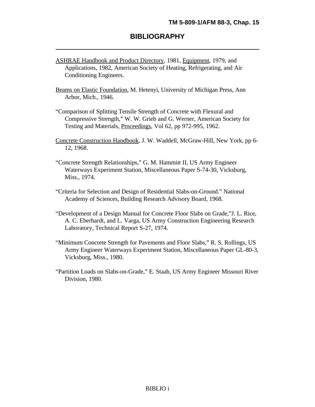# **BIBLIOGRAPHY**

- ASHRAE Handbook and Product Directory, 1981, Equipment, 1979, and Applications, 1982, American Society of Heating, Refrigerating, and Air Conditioning Engineers.
- Beams on Elastic Foundation, M. Hetenyi, University of Michigan Press, Ann Arbor, Mich., 1946.
- "Comparison of Splitting Tensile Strength of Concrete with Flexural and Compressive Strength," W. W. Grieb and G. Werner, American Society for Testing and Materials, Proceedings, Vol 62, pp 972-995, 1962.
- Concrete Construction Handbook, J. W. Waddell, McGraw-Hill, New York, pp 6- 12, 1968.
- "Concrete Strength Relationships," G. M. Hammitt II, US Army Engineer Waterways Experiment Station, Miscellaneous Paper S-74-30, Vicksburg, Miss., 1974.
- "Criteria for Selection and Design of Residential Slabs-on-Ground." National Academy of Sciences, Building Research Advisory Board, 1968.
- "Development of a Design Manual for Concrete Floor Slabs on Grade,"J. L. Rice, A. C. Eberhardt, and L. Varga, US Army Construction Engineering Research Laboratory, Technical Report S-27, 1974.
- "Minimum Concrete Strength for Pavements and Floor Slabs," R. S. Rollings, US Army Engineer Waterways Experiment Station, Miscellaneous Paper GL-80-3, Vicksburg, Miss., 1980.
- "Partition Loads on Slabs-on-Grade," E. Staab, US Army Engineer Missouri River Division, 1980.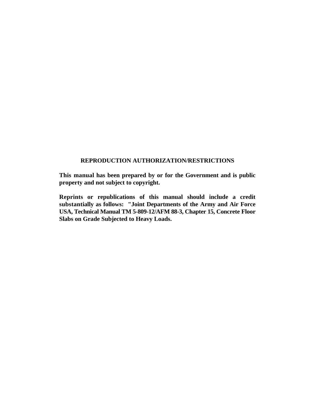### **REPRODUCTION AUTHORIZATION/RESTRICTIONS**

**This manual has been prepared by or for the Government and is public property and not subject to copyright.**

**Reprints or republications of this manual should include a credit substantially as follows: "Joint Departments of the Army and Air Force USA, Technical Manual TM 5-809-12/AFM 88-3, Chapter 15, Concrete Floor Slabs on Grade Subjected to Heavy Loads.**